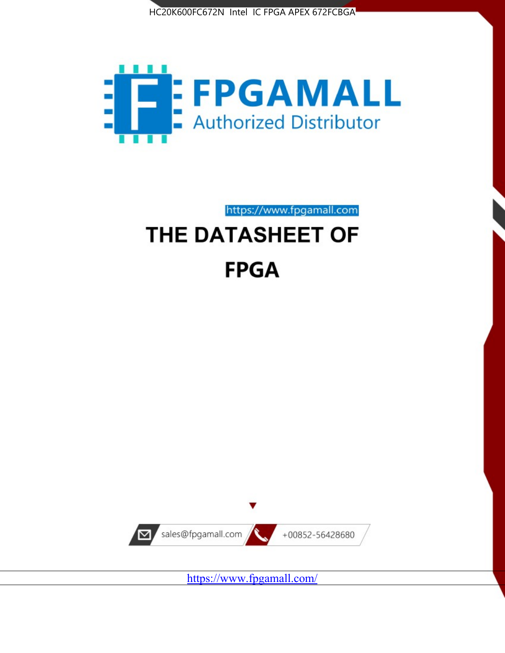



https://www.fpgamall.com

# THE DATASHEET OF **FPGA**



<https://www.fpgamall.com/>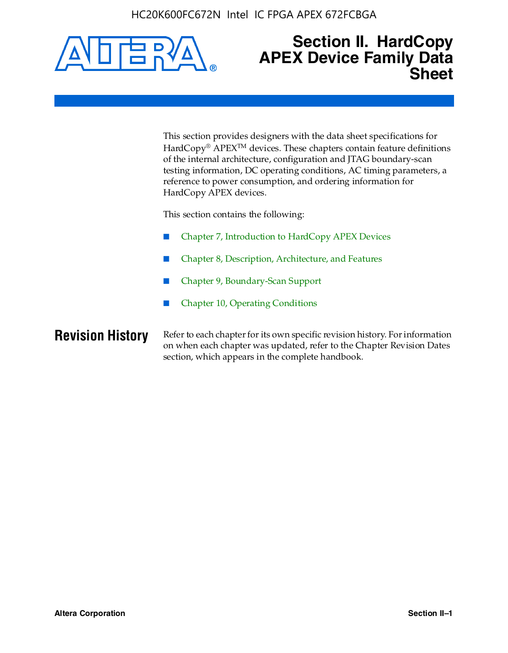

### **Section II. HardCopy APEX Device Family Data Sheet**

This section provides designers with the data sheet specifications for HardCopy<sup>®</sup> APEX<sup>™</sup> devices. These chapters contain feature definitions of the internal architecture, configuration and JTAG boundary-scan testing information, DC operating conditions, AC timing parameters, a reference to power consumption, and ordering information for HardCopy APEX devices.

This section contains the following:

- Chapter 7, Introduction to HardCopy APEX Devices
- Chapter 8, Description, Architecture, and Features
- Chapter 9, Boundary-Scan Support
- Chapter 10, Operating Conditions

**Revision History** Refer to each chapter for its own specific revision history. For information on when each chapter was updated, refer to the Chapter Revision Dates section, which appears in the complete handbook.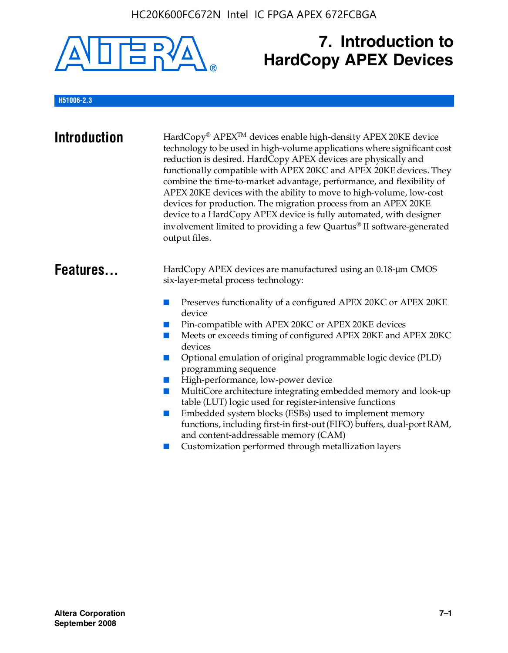

# **7. Introduction to HardCopy APEX Devices**

### **H51006-2.3**

| <b>Introduction</b> | HardCopy® APEX™ devices enable high-density APEX 20KE device<br>technology to be used in high-volume applications where significant cost<br>reduction is desired. HardCopy APEX devices are physically and<br>functionally compatible with APEX 20KC and APEX 20KE devices. They<br>combine the time-to-market advantage, performance, and flexibility of<br>APEX 20KE devices with the ability to move to high-volume, low-cost<br>devices for production. The migration process from an APEX 20KE<br>device to a HardCopy APEX device is fully automated, with designer<br>involvement limited to providing a few Quartus® II software-generated<br>output files.                                                                                                                                                |
|---------------------|--------------------------------------------------------------------------------------------------------------------------------------------------------------------------------------------------------------------------------------------------------------------------------------------------------------------------------------------------------------------------------------------------------------------------------------------------------------------------------------------------------------------------------------------------------------------------------------------------------------------------------------------------------------------------------------------------------------------------------------------------------------------------------------------------------------------|
| Features            | HardCopy APEX devices are manufactured using an 0.18-um CMOS<br>six-layer-metal process technology:<br>Preserves functionality of a configured APEX 20KC or APEX 20KE<br>device<br>Pin-compatible with APEX 20KC or APEX 20KE devices<br>Meets or exceeds timing of configured APEX 20KE and APEX 20KC<br>devices<br>Optional emulation of original programmable logic device (PLD)<br>programming sequence<br>High-performance, low-power device<br>MultiCore architecture integrating embedded memory and look-up<br>table (LUT) logic used for register-intensive functions<br>Embedded system blocks (ESBs) used to implement memory<br>functions, including first-in first-out (FIFO) buffers, dual-port RAM,<br>and content-addressable memory (CAM)<br>Customization performed through metallization layers |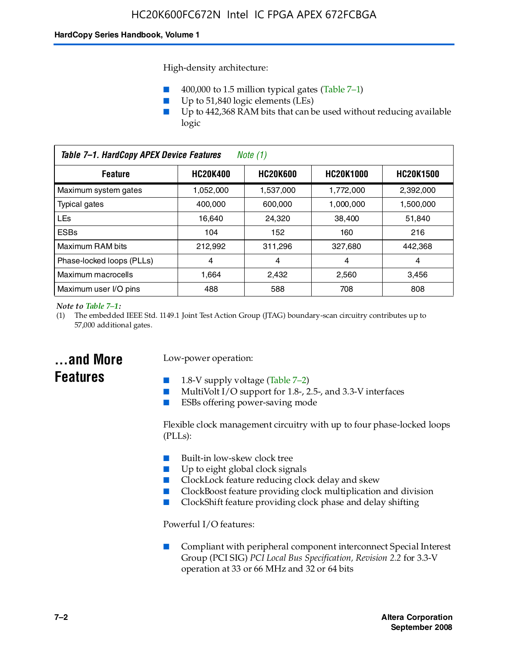High-density architecture:

- 400,000 to 1.5 million typical gates (Table 7–1)
- Up to 51,840 logic elements (LEs)
- Up to 442,368 RAM bits that can be used without reducing available logic

| Table 7-1. HardCopy APEX Device Features<br>Note (1)                                  |           |           |           |           |
|---------------------------------------------------------------------------------------|-----------|-----------|-----------|-----------|
| <b>HC20K400</b><br>HC20K600<br><b>HC20K1000</b><br><b>HC20K1500</b><br><b>Feature</b> |           |           |           |           |
| Maximum system gates                                                                  | 1,052,000 | 1,537,000 | 1,772,000 | 2,392,000 |
| <b>Typical gates</b>                                                                  | 400.000   | 600,000   | 1.000.000 | 1,500,000 |
| <b>LEs</b>                                                                            | 16,640    | 24,320    | 38.400    | 51.840    |
| <b>ESBs</b>                                                                           | 104       | 152       | 160       | 216       |
| Maximum RAM bits                                                                      | 212.992   | 311,296   | 327,680   | 442,368   |
| Phase-locked loops (PLLs)                                                             | 4         | 4         | 4         | 4         |
| Maximum macrocells                                                                    | 1.664     | 2.432     | 2.560     | 3,456     |
| Maximum user I/O pins                                                                 | 488       | 588       | 708       | 808       |

#### *Note to Table 7–1:*

(1) The embedded IEEE Std. 1149.1 Joint Test Action Group (JTAG) boundary-scan circuitry contributes up to 57,000 additional gates.

### **...and More Features**

### Low-power operation:

- 1.8-V supply voltage (Table  $7-2$ )
- MultiVolt I/O support for 1.8-, 2.5-, and 3.3-V interfaces
- ESBs offering power-saving mode

Flexible clock management circuitry with up to four phase-locked loops (PLLs):

- Built-in low-skew clock tree
- Up to eight global clock signals
- ClockLock feature reducing clock delay and skew
- ClockBoost feature providing clock multiplication and division
- ClockShift feature providing clock phase and delay shifting

Powerful I/O features:

■ Compliant with peripheral component interconnect Special Interest Group (PCI SIG) *PCI Local Bus Specification, Revision 2.2* for 3.3-V operation at 33 or 66 MHz and 32 or 64 bits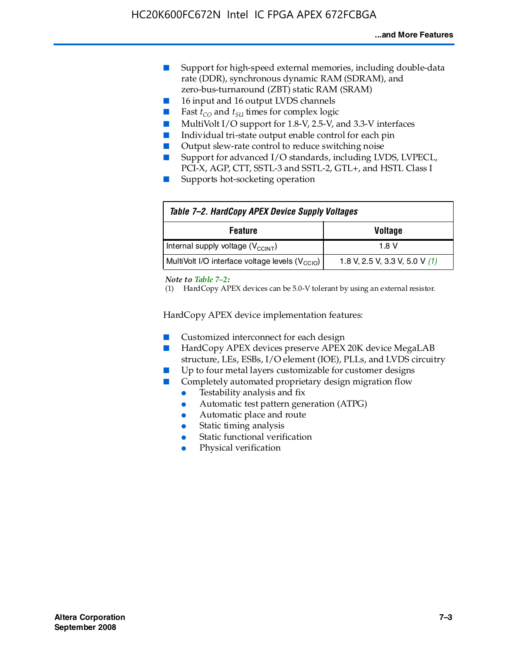- Support for high-speed external memories, including double-data rate (DDR), synchronous dynamic RAM (SDRAM), and zero-bus-turnaround (ZBT) static RAM (SRAM)
- 16 input and 16 output LVDS channels
- Fast  $t_{CO}$  and  $t_{SU}$  times for complex logic
- MultiVolt I/O support for 1.8-V, 2.5-V, and 3.3-V interfaces
- Individual tri-state output enable control for each pin
- Output slew-rate control to reduce switching noise
- Support for advanced I/O standards, including LVDS, LVPECL, PCI-X, AGP, CTT, SSTL-3 and SSTL-2, GTL+, and HSTL Class I
- Supports hot-socketing operation

| Table 7-2. HardCopy APEX Device Supply Voltages             |                                  |
|-------------------------------------------------------------|----------------------------------|
| <b>Voltage</b><br><b>Feature</b>                            |                                  |
| Internal supply voltage (V <sub>CCINT</sub> )               | 1.8 V                            |
| MultiVolt I/O interface voltage levels (V <sub>CCIO</sub> ) | 1.8 V, 2.5 V, 3.3 V, 5.0 V $(1)$ |

#### *Note to Table 7–2:*

(1) HardCopy APEX devices can be 5.0-V tolerant by using an external resistor.

HardCopy APEX device implementation features:

- Customized interconnect for each design
- HardCopy APEX devices preserve APEX 20K device MegaLAB structure, LEs, ESBs, I/O element (IOE), PLLs, and LVDS circuitry
- Up to four metal layers customizable for customer designs
- Completely automated proprietary design migration flow
	- Testability analysis and fix
	- Automatic test pattern generation (ATPG)
	- Automatic place and route
	- Static timing analysis
	- Static functional verification
	- Physical verification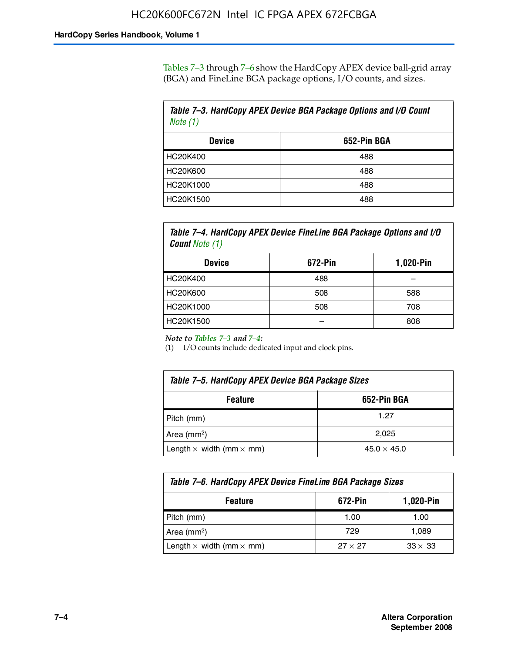Tables 7–3 through 7–6 show the HardCopy APEX device ball-grid array (BGA) and FineLine BGA package options, I/O counts, and sizes.

| Table 7–3. HardCopy APEX Device BGA Package Options and I/O Count<br>Note $(1)$ |             |  |
|---------------------------------------------------------------------------------|-------------|--|
| <b>Device</b>                                                                   | 652-Pin BGA |  |
| HC20K400                                                                        | 488         |  |
| HC20K600                                                                        | 488         |  |
| HC20K1000                                                                       | 488         |  |
| HC20K1500                                                                       | 488         |  |

*Table 7–4. HardCopy APEX Device FineLine BGA Package Options and I/O Count Note (1)*

| <b>Device</b>   | 672-Pin | 1,020-Pin |
|-----------------|---------|-----------|
| HC20K400        | 488     |           |
| <b>HC20K600</b> | 508     | 588       |
| HC20K1000       | 508     | 708       |
| HC20K1500       |         | 808       |

*Note to Tables 7–3 and 7–4:*

(1) I/O counts include dedicated input and clock pins.

| Table 7–5. HardCopy APEX Device BGA Package Sizes |                    |  |
|---------------------------------------------------|--------------------|--|
| 652-Pin BGA<br><b>Feature</b>                     |                    |  |
| Pitch (mm)                                        | 1.27               |  |
| Area $(mm2)$                                      | 2.025              |  |
| Length $\times$ width (mm $\times$ mm)            | $45.0 \times 45.0$ |  |

| Table 7–6. HardCopy APEX Device FineLine BGA Package Sizes                 |      |       |  |
|----------------------------------------------------------------------------|------|-------|--|
| 1,020-Pin<br>672-Pin<br><b>Feature</b>                                     |      |       |  |
| Pitch (mm)                                                                 | 1.00 | 1.00  |  |
| Area $(mm2)$                                                               | 729  | 1,089 |  |
| Length $\times$ width (mm $\times$ mm)<br>$33 \times 33$<br>$27 \times 27$ |      |       |  |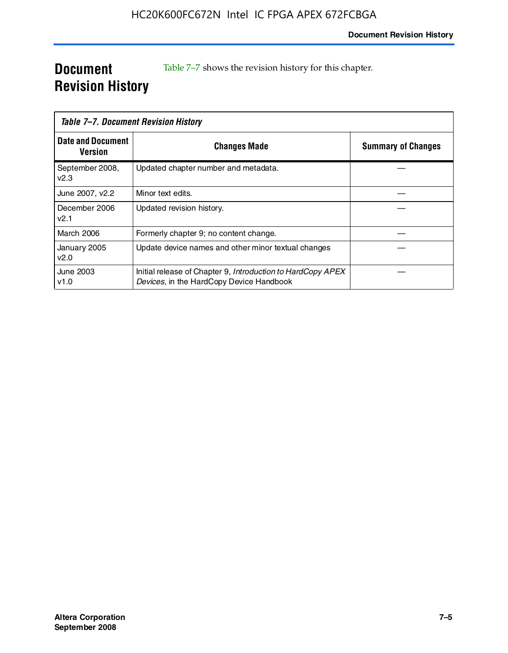### **Document Revision History**

Table 7–7 shows the revision history for this chapter.

| Table 7–7. Document Revision History |                                                                                                         |                           |
|--------------------------------------|---------------------------------------------------------------------------------------------------------|---------------------------|
| <b>Date and Document</b><br>Version  | <b>Changes Made</b>                                                                                     | <b>Summary of Changes</b> |
| September 2008,<br>V <sub>2.3</sub>  | Updated chapter number and metadata.                                                                    |                           |
| June 2007, v2.2                      | Minor text edits.                                                                                       |                           |
| December 2006<br>v2.1                | Updated revision history.                                                                               |                           |
| March 2006                           | Formerly chapter 9; no content change.                                                                  |                           |
| January 2005<br>v2.0                 | Update device names and other minor textual changes                                                     |                           |
| June 2003<br>v1.0                    | Initial release of Chapter 9, Introduction to HardCopy APEX<br>Devices, in the HardCopy Device Handbook |                           |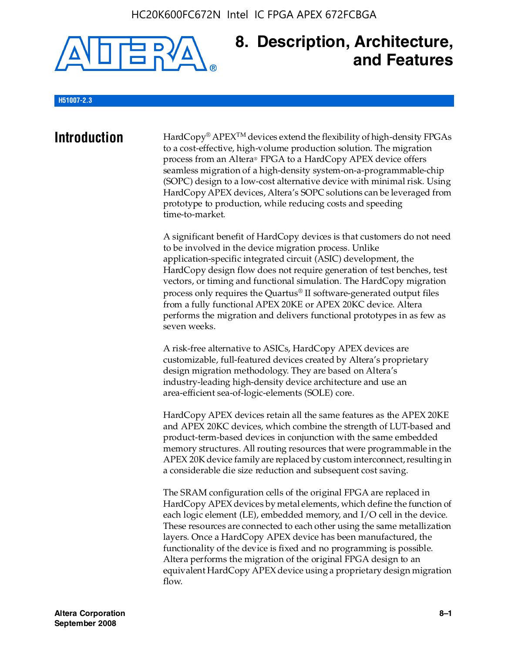

### **8. Description, Architecture, and Features**

#### **H51007-2.3**

**Introduction** HardCopy<sup>®</sup> APEX<sup>TM</sup> devices extend the flexibility of high-density FPGAs to a cost-effective, high-volume production solution. The migration process from an Altera® FPGA to a HardCopy APEX device offers seamless migration of a high-density system-on-a-programmable-chip (SOPC) design to a low-cost alternative device with minimal risk. Using HardCopy APEX devices, Altera's SOPC solutions can be leveraged from prototype to production, while reducing costs and speeding time-to-market.

> A significant benefit of HardCopy devices is that customers do not need to be involved in the device migration process. Unlike application-specific integrated circuit (ASIC) development, the HardCopy design flow does not require generation of test benches, test vectors, or timing and functional simulation. The HardCopy migration process only requires the Quartus® II software-generated output files from a fully functional APEX 20KE or APEX 20KC device. Altera performs the migration and delivers functional prototypes in as few as seven weeks.

A risk-free alternative to ASICs, HardCopy APEX devices are customizable, full-featured devices created by Altera's proprietary design migration methodology. They are based on Altera's industry-leading high-density device architecture and use an area-efficient sea-of-logic-elements (SOLE) core.

HardCopy APEX devices retain all the same features as the APEX 20KE and APEX 20KC devices, which combine the strength of LUT-based and product-term-based devices in conjunction with the same embedded memory structures. All routing resources that were programmable in the APEX 20K device family are replaced by custom interconnect, resulting in a considerable die size reduction and subsequent cost saving.

The SRAM configuration cells of the original FPGA are replaced in HardCopy APEX devices by metal elements, which define the function of each logic element (LE), embedded memory, and I/O cell in the device. These resources are connected to each other using the same metallization layers. Once a HardCopy APEX device has been manufactured, the functionality of the device is fixed and no programming is possible. Altera performs the migration of the original FPGA design to an equivalent HardCopy APEX device using a proprietary design migration flow.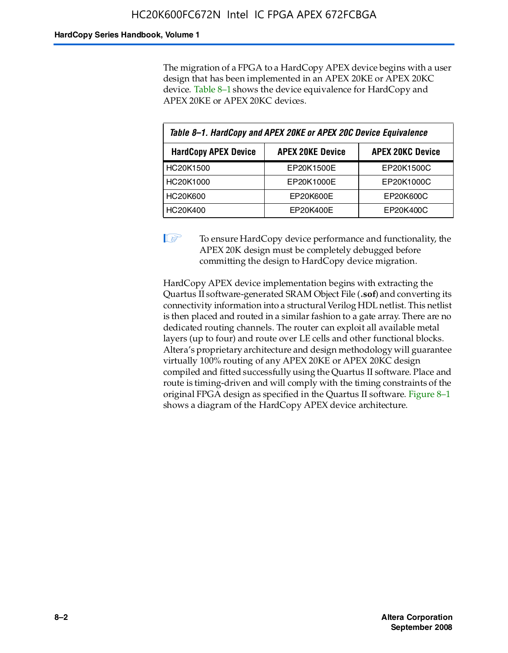The migration of a FPGA to a HardCopy APEX device begins with a user design that has been implemented in an APEX 20KE or APEX 20KC device. Table 8–1 shows the device equivalence for HardCopy and APEX 20KE or APEX 20KC devices.

| Table 8-1. HardCopy and APEX 20KE or APEX 20C Device Equivalence                  |            |            |  |
|-----------------------------------------------------------------------------------|------------|------------|--|
| <b>APEX 20KC Device</b><br><b>HardCopy APEX Device</b><br><b>APEX 20KE Device</b> |            |            |  |
| HC20K1500                                                                         | EP20K1500E | EP20K1500C |  |
| HC20K1000                                                                         | EP20K1000E | EP20K1000C |  |
| <b>HC20K600</b>                                                                   | EP20K600E  | EP20K600C  |  |
| HC20K400                                                                          | EP20K400E  | EP20K400C  |  |

 $\mathbb{I}$  To ensure HardCopy device performance and functionality, the APEX 20K design must be completely debugged before committing the design to HardCopy device migration.

HardCopy APEX device implementation begins with extracting the Quartus II software-generated SRAM Object File (**.sof**) and converting its connectivity information into a structural Verilog HDL netlist. This netlist is then placed and routed in a similar fashion to a gate array. There are no dedicated routing channels. The router can exploit all available metal layers (up to four) and route over LE cells and other functional blocks. Altera's proprietary architecture and design methodology will guarantee virtually 100% routing of any APEX 20KE or APEX 20KC design compiled and fitted successfully using the Quartus II software. Place and route is timing-driven and will comply with the timing constraints of the original FPGA design as specified in the Quartus II software. Figure 8–1 shows a diagram of the HardCopy APEX device architecture.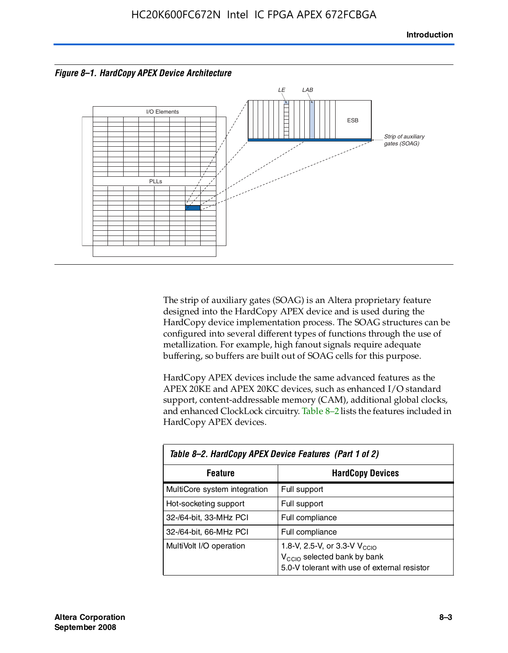



The strip of auxiliary gates (SOAG) is an Altera proprietary feature designed into the HardCopy APEX device and is used during the HardCopy device implementation process. The SOAG structures can be configured into several different types of functions through the use of metallization. For example, high fanout signals require adequate buffering, so buffers are built out of SOAG cells for this purpose.

HardCopy APEX devices include the same advanced features as the APEX 20KE and APEX 20KC devices, such as enhanced I/O standard support, content-addressable memory (CAM), additional global clocks, and enhanced ClockLock circuitry. Table 8–2 lists the features included in HardCopy APEX devices.

| Table 8-2. HardCopy APEX Device Features (Part 1 of 2) |                                                                                                                                     |  |  |
|--------------------------------------------------------|-------------------------------------------------------------------------------------------------------------------------------------|--|--|
| Feature                                                | <b>HardCopy Devices</b>                                                                                                             |  |  |
| MultiCore system integration                           | Full support                                                                                                                        |  |  |
| Hot-socketing support                                  | Full support                                                                                                                        |  |  |
| 32-/64-bit, 33-MHz PCI                                 | Full compliance                                                                                                                     |  |  |
| 32-/64-bit, 66-MHz PCI                                 | Full compliance                                                                                                                     |  |  |
| MultiVolt I/O operation                                | 1.8-V, 2.5-V, or 3.3-V $V_{\text{CCIO}}$<br>V <sub>CCIO</sub> selected bank by bank<br>5.0-V tolerant with use of external resistor |  |  |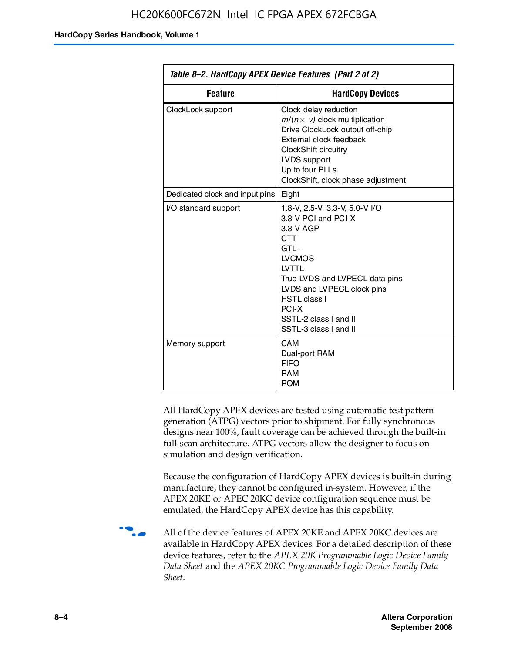| Table 8–2. HardCopy APEX Device Features (Part 2 of 2) |                                                                                                                                                                                                                                                                                |  |
|--------------------------------------------------------|--------------------------------------------------------------------------------------------------------------------------------------------------------------------------------------------------------------------------------------------------------------------------------|--|
| <b>Feature</b><br><b>HardCopy Devices</b>              |                                                                                                                                                                                                                                                                                |  |
| ClockLock support                                      | Clock delay reduction<br>$m/(n \times v)$ clock multiplication<br>Drive ClockLock output off-chip<br>External clock feedback<br>ClockShift circuitry<br>LVDS support<br>Up to four PLLs<br>ClockShift, clock phase adjustment                                                  |  |
| Dedicated clock and input pins                         | Eight                                                                                                                                                                                                                                                                          |  |
| I/O standard support                                   | 1.8-V, 2.5-V, 3.3-V, 5.0-V I/O<br>3.3-V PCI and PCI-X<br>3.3-V AGP<br><b>CTT</b><br>$GTI +$<br><b>LVCMOS</b><br><b>IVTTI</b><br>True-LVDS and LVPECL data pins<br>LVDS and LVPECL clock pins<br><b>HSTL class I</b><br>PCI-X<br>SSTL-2 class I and II<br>SSTL-3 class I and II |  |
| Memory support                                         | CAM<br>Dual-port RAM<br><b>FIFO</b><br><b>RAM</b><br><b>ROM</b>                                                                                                                                                                                                                |  |

All HardCopy APEX devices are tested using automatic test pattern generation (ATPG) vectors prior to shipment. For fully synchronous designs near 100%, fault coverage can be achieved through the built-in full-scan architecture. ATPG vectors allow the designer to focus on simulation and design verification.

Because the configuration of HardCopy APEX devices is built-in during manufacture, they cannot be configured in-system. However, if the APEX 20KE or APEC 20KC device configuration sequence must be emulated, the HardCopy APEX device has this capability.

**f all of the device features of APEX 20KE and APEX 20KC devices are** available in HardCopy APEX devices. For a detailed description of these device features, refer to the *APEX 20K Programmable Logic Device Family Data Sheet* and the *APEX 20KC Programmable Logic Device Family Data Sheet*.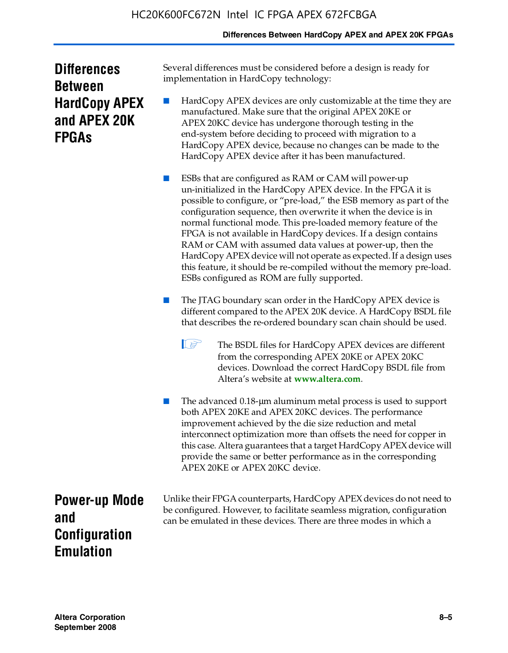### **Differences Between HardCopy APEX and APEX 20K FPGAs**

| <b>Differences</b>   |  |  |
|----------------------|--|--|
| <b>Between</b>       |  |  |
| <b>HardCopy APEX</b> |  |  |
| and APEX 20K         |  |  |
| <b>FPGAS</b>         |  |  |

Several differences must be considered before a design is ready for implementation in HardCopy technology:

HardCopy APEX devices are only customizable at the time they are manufactured. Make sure that the original APEX 20KE or APEX 20KC device has undergone thorough testing in the end-system before deciding to proceed with migration to a HardCopy APEX device, because no changes can be made to the HardCopy APEX device after it has been manufactured.

ESBs that are configured as RAM or CAM will power-up un-initialized in the HardCopy APEX device. In the FPGA it is possible to configure, or "pre-load," the ESB memory as part of the configuration sequence, then overwrite it when the device is in normal functional mode. This pre-loaded memory feature of the FPGA is not available in HardCopy devices. If a design contains RAM or CAM with assumed data values at power-up, then the HardCopy APEX device will not operate as expected. If a design uses this feature, it should be re-compiled without the memory pre-load. ESBs configured as ROM are fully supported.

- The JTAG boundary scan order in the HardCopy APEX device is different compared to the APEX 20K device. A HardCopy BSDL file that describes the re-ordered boundary scan chain should be used.
	- **1 The BSDL files for HardCopy APEX devices are different** from the corresponding APEX 20KE or APEX 20KC devices. Download the correct HardCopy BSDL file from Altera's website at **[www.altera.com](http://www.altera.com)**.

The advanced 0.18-μm aluminum metal process is used to support both APEX 20KE and APEX 20KC devices. The performance improvement achieved by the die size reduction and metal interconnect optimization more than offsets the need for copper in this case. Altera guarantees that a target HardCopy APEX device will provide the same or better performance as in the corresponding APEX 20KE or APEX 20KC device.

**Power-up Mode and Configuration Emulation**

Unlike their FPGA counterparts, HardCopy APEX devices do not need to be configured. However, to facilitate seamless migration, configuration can be emulated in these devices. There are three modes in which a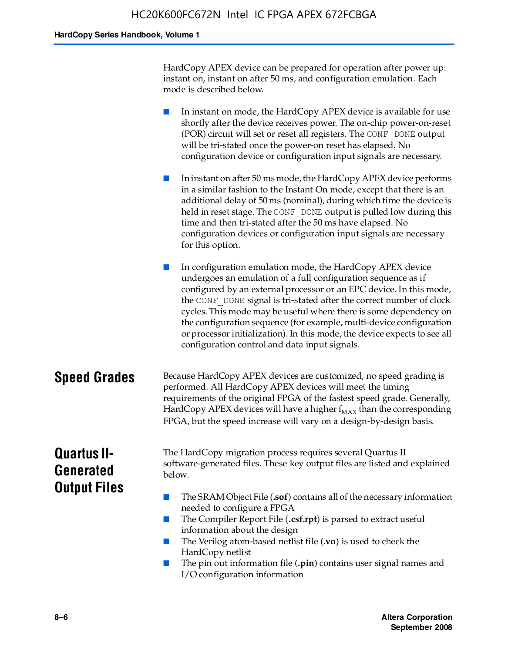HardCopy APEX device can be prepared for operation after power up: instant on, instant on after 50 ms, and configuration emulation. Each mode is described below.

■ In instant on mode, the HardCopy APEX device is available for use shortly after the device receives power. The on-chip power-on-reset (POR) circuit will set or reset all registers. The CONF\_DONE output will be tri-stated once the power-on reset has elapsed. No configuration device or configuration input signals are necessary.

In instant on after 50 ms mode, the HardCopy APEX device performs in a similar fashion to the Instant On mode, except that there is an additional delay of 50 ms (nominal), during which time the device is held in reset stage. The CONF DONE output is pulled low during this time and then tri-stated after the 50 ms have elapsed. No configuration devices or configuration input signals are necessary for this option.

In configuration emulation mode, the HardCopy APEX device undergoes an emulation of a full configuration sequence as if configured by an external processor or an EPC device. In this mode, the CONF\_DONE signal is tri-stated after the correct number of clock cycles. This mode may be useful where there is some dependency on the configuration sequence (for example, multi-device configuration or processor initialization). In this mode, the device expects to see all configuration control and data input signals.

### **Speed Grades** Because HardCopy APEX devices are customized, no speed grading is performed. All HardCopy APEX devices will meet the timing requirements of the original FPGA of the fastest speed grade. Generally, HardCopy APEX devices will have a higher  $f_{MAX}$  than the corresponding FPGA, but the speed increase will vary on a design-by-design basis.

### **Quartus II-Generated Output Files**

The HardCopy migration process requires several Quartus II software-generated files. These key output files are listed and explained below.

- The SRAM Object File (**.sof**) contains all of the necessary information needed to configure a FPGA
- The Compiler Report File (.csf.rpt) is parsed to extract useful information about the design
- The Verilog atom-based netlist file (**.vo**) is used to check the HardCopy netlist
- The pin out information file (**.pin**) contains user signal names and I/O configuration information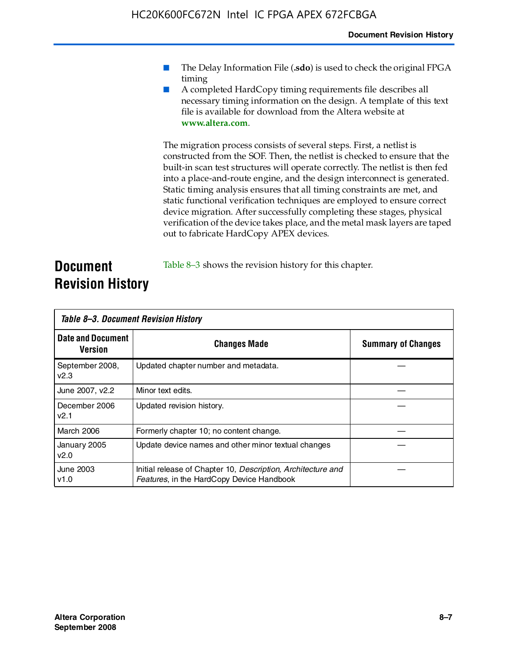- The Delay Information File (.sdo) is used to check the original FPGA timing
- A completed HardCopy timing requirements file describes all necessary timing information on the design. A template of this text file is available for download from the Altera website at **www.altera.com**.

The migration process consists of several steps. First, a netlist is constructed from the SOF. Then, the netlist is checked to ensure that the built-in scan test structures will operate correctly. The netlist is then fed into a place-and-route engine, and the design interconnect is generated. Static timing analysis ensures that all timing constraints are met, and static functional verification techniques are employed to ensure correct device migration. After successfully completing these stages, physical verification of the device takes place, and the metal mask layers are taped out to fabricate HardCopy APEX devices.

### **Document Revision History** Table 8–3 shows the revision history for this chapter.

| Table 8–3. Document Revision History |                                                                                                           |                           |  |  |
|--------------------------------------|-----------------------------------------------------------------------------------------------------------|---------------------------|--|--|
| <b>Date and Document</b><br>Version  | <b>Changes Made</b>                                                                                       | <b>Summary of Changes</b> |  |  |
| September 2008,<br>V <sub>2.3</sub>  | Updated chapter number and metadata.                                                                      |                           |  |  |
| June 2007, v2.2                      | Minor text edits.                                                                                         |                           |  |  |
| December 2006<br>v2.1                | Updated revision history.                                                                                 |                           |  |  |
| March 2006                           | Formerly chapter 10; no content change.                                                                   |                           |  |  |
| January 2005<br>v2.0                 | Update device names and other minor textual changes                                                       |                           |  |  |
| <b>June 2003</b><br>v1.0             | Initial release of Chapter 10, Description, Architecture and<br>Features, in the HardCopy Device Handbook |                           |  |  |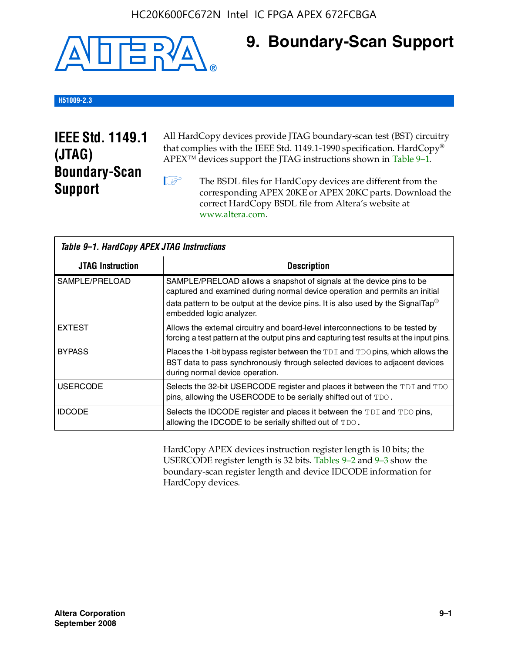

### **9. Boundary-Scan Support**

### **H51009-2.3**

### **IEEE Std. 1149.1 (JTAG) Boundary-Scan Support**

All HardCopy devices provide JTAG boundary-scan test (BST) circuitry that complies with the IEEE Std. 1149.1-1990 specification. HardCopy® APEX™ devices support the JTAG instructions shown in Table 9–1.

**1 The BSDL files for HardCopy devices are different from the** corresponding APEX 20KE or APEX 20KC parts. Download the [correct HardCopy BSDL file from Altera's website at](http://www.altera.com)  www.altera.com.

| Table 9-1. HardCopy APEX JTAG Instructions |                                                                                                                                                                                                                                                                                |  |  |  |
|--------------------------------------------|--------------------------------------------------------------------------------------------------------------------------------------------------------------------------------------------------------------------------------------------------------------------------------|--|--|--|
| <b>JTAG Instruction</b>                    | <b>Description</b>                                                                                                                                                                                                                                                             |  |  |  |
| SAMPLE/PRELOAD                             | SAMPLE/PRELOAD allows a snapshot of signals at the device pins to be<br>captured and examined during normal device operation and permits an initial<br>data pattern to be output at the device pins. It is also used by the SignalTap <sup>®</sup><br>embedded logic analyzer. |  |  |  |
| <b>EXTEST</b>                              | Allows the external circuitry and board-level interconnections to be tested by<br>forcing a test pattern at the output pins and capturing test results at the input pins.                                                                                                      |  |  |  |
| <b>BYPASS</b>                              | Places the 1-bit bypass register between the TDI and TDO pins, which allows the<br>BST data to pass synchronously through selected devices to adjacent devices<br>during normal device operation.                                                                              |  |  |  |
| <b>USERCODE</b>                            | Selects the 32-bit USERCODE register and places it between the TDI and TDO<br>pins, allowing the USERCODE to be serially shifted out of TDO.                                                                                                                                   |  |  |  |
| <b>IDCODE</b>                              | Selects the IDCODE register and places it between the TDI and TDO pins,<br>allowing the IDCODE to be serially shifted out of TDO.                                                                                                                                              |  |  |  |

HardCopy APEX devices instruction register length is 10 bits; the USERCODE register length is 32 bits. Tables 9–2 and 9–3 show the boundary-scan register length and device IDCODE information for HardCopy devices.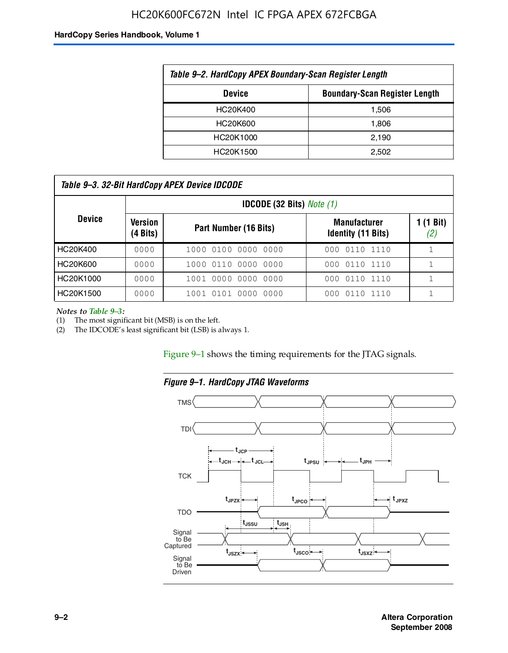### HC20K600FC672N Intel IC FPGA APEX 672FCBGA

#### **HardCopy Series Handbook, Volume 1**

| Table 9-2. HardCopy APEX Boundary-Scan Register Length |       |  |  |  |
|--------------------------------------------------------|-------|--|--|--|
| <b>Boundary-Scan Register Length</b><br><b>Device</b>  |       |  |  |  |
| HC20K400                                               | 1,506 |  |  |  |
| HC20K600                                               | 1,806 |  |  |  |
| HC20K1000                                              | 2,190 |  |  |  |
| HC20K1500                                              | 2.502 |  |  |  |

| Table 9–3. 32-Bit HardCopy APEX Device IDCODE |                     |                                         |                                                  |                  |  |
|-----------------------------------------------|---------------------|-----------------------------------------|--------------------------------------------------|------------------|--|
|                                               |                     | <b>IDCODE (32 Bits)</b> <i>Note (1)</i> |                                                  |                  |  |
| <b>Device</b>                                 | Version<br>(4 Bits) | Part Number (16 Bits)                   | <b>Manufacturer</b><br><b>Identity (11 Bits)</b> | 1 (1 Bit)<br>(2) |  |
| HC20K400                                      | 0000                | 1000 0100 0000 0000                     | 0110 1110<br>000                                 |                  |  |
| HC20K600                                      | 0000                | 1000 0110 0000 0000                     | 000 0110 1110                                    |                  |  |
| HC20K1000                                     | 0000                | 1001 0000 0000 0000                     | 000 0110 1110                                    |                  |  |
| HC20K1500                                     | 0000                | 1001 0101 0000<br>0000                  | 0110 1110<br>000                                 |                  |  |

*Notes to Table 9–3:*

(1) The most significant bit (MSB) is on the left.

(2) The IDCODE's least significant bit (LSB) is always 1.

Figure 9–1 shows the timing requirements for the JTAG signals.



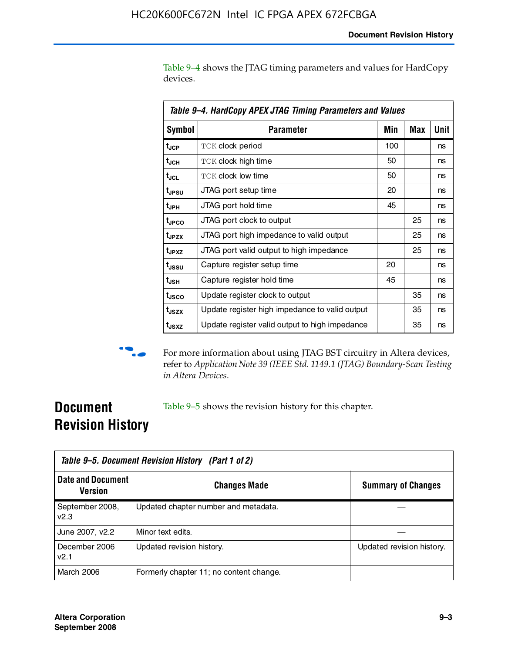Table 9–4 shows the JTAG timing parameters and values for HardCopy devices.

| Table 9-4. HardCopy APEX JTAG Timing Parameters and Values |                                                |     |     |      |  |
|------------------------------------------------------------|------------------------------------------------|-----|-----|------|--|
| <b>Symbol</b>                                              | <b>Parameter</b>                               | Min | Max | Unit |  |
| t <sub>JCP</sub>                                           | <b>TCK clock period</b>                        | 100 |     | ns   |  |
| t <sub>JCH</sub>                                           | <b>TCK clock high time</b>                     | 50  |     | ns   |  |
| t <sub>JCL</sub>                                           | <b>TCK clock low time</b>                      | 50  |     | ns   |  |
| t <sub>JPSU</sub>                                          | JTAG port setup time                           | 20  |     | ns   |  |
| $t_{\rm JPH}$                                              | JTAG port hold time                            | 45  |     | ns   |  |
| t <sub>JPCO</sub>                                          | JTAG port clock to output                      |     | 25  | ns   |  |
| t <sub>JPZX</sub>                                          | JTAG port high impedance to valid output       |     | 25  | ns   |  |
| t <sub>JPXZ</sub>                                          | JTAG port valid output to high impedance       |     | 25  | ns   |  |
| t <sub>JSSU</sub>                                          | Capture register setup time                    | 20  |     | ns   |  |
| t <sub>usн</sub>                                           | Capture register hold time                     | 45  |     | ns   |  |
| t <sub>usco</sub>                                          | Update register clock to output                |     | 35  | ns   |  |
| t <sub>JSZX</sub>                                          | Update register high impedance to valid output |     | 35  | ns   |  |
| t <sub>JSXZ</sub>                                          | Update register valid output to high impedance |     | 35  | ns   |  |



**f For more information about using JTAG BST circuitry in Altera devices,** refer to *Application Note 39 (IEEE Std. 1149.1 (JTAG) Boundary-Scan Testing in Altera Devices*.

### **Document Revision History**

Table 9–5 shows the revision history for this chapter.

| Table 9–5. Document Revision History (Part 1 of 2) |                                         |                           |  |  |
|----------------------------------------------------|-----------------------------------------|---------------------------|--|--|
| <b>Date and Document</b><br>Version                | <b>Changes Made</b>                     | <b>Summary of Changes</b> |  |  |
| September 2008,<br>v2.3                            | Updated chapter number and metadata.    |                           |  |  |
| June 2007, v2.2                                    | Minor text edits.                       |                           |  |  |
| December 2006<br>v2.1                              | Updated revision history.               | Updated revision history. |  |  |
| March 2006                                         | Formerly chapter 11; no content change. |                           |  |  |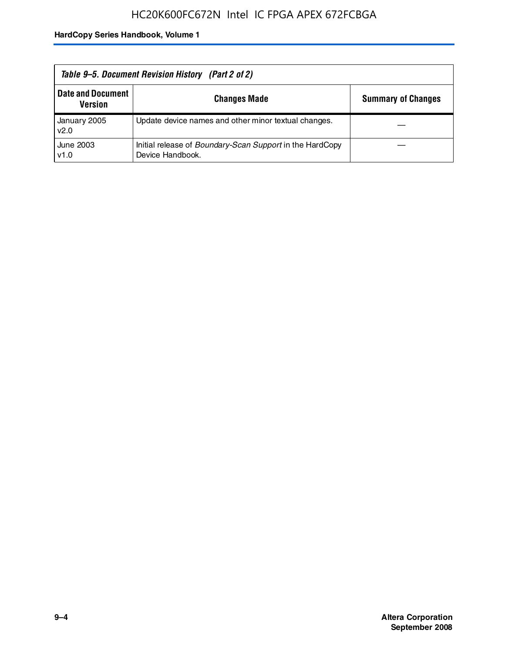| Table 9–5. Document Revision History (Part 2 of 2) |                                                                                     |                           |  |
|----------------------------------------------------|-------------------------------------------------------------------------------------|---------------------------|--|
| <b>Date and Document</b><br><b>Version</b>         | <b>Changes Made</b>                                                                 | <b>Summary of Changes</b> |  |
| January 2005<br>v2.0                               | Update device names and other minor textual changes.                                |                           |  |
| June 2003<br>v1.0                                  | Initial release of <i>Boundary-Scan Support</i> in the HardCopy<br>Device Handbook. |                           |  |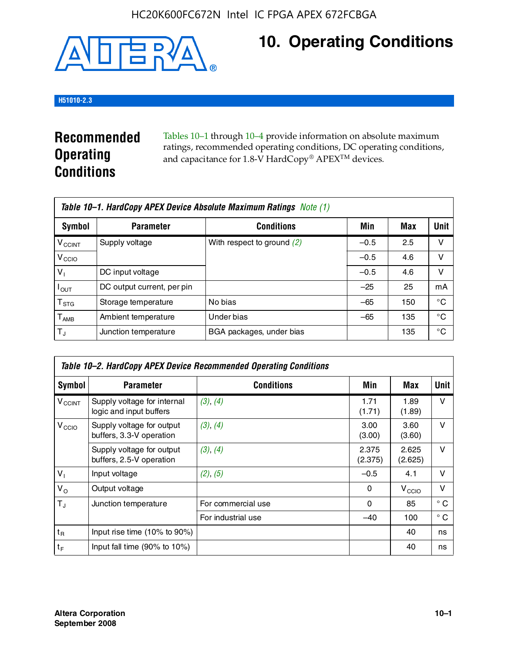

# **10. Operating Conditions**

### **H51010-2.3**

### **Recommended Operating Conditions**

Tables 10–1 through 10–4 provide information on absolute maximum ratings, recommended operating conditions, DC operating conditions, and capacitance for 1.8-V HardCopy® APEX<sup>TM</sup> devices.

| Table 10–1. HardCopy APEX Device Absolute Maximum Ratings Note (1) |                            |                              |        |     |             |
|--------------------------------------------------------------------|----------------------------|------------------------------|--------|-----|-------------|
| Symbol                                                             | <b>Parameter</b>           | <b>Conditions</b>            | Min    | Max | <b>Unit</b> |
| <b>V<sub>CCINT</sub></b>                                           | Supply voltage             | With respect to ground $(2)$ | $-0.5$ | 2.5 | v           |
| V <sub>CCIO</sub>                                                  |                            |                              | $-0.5$ | 4.6 | ν           |
| $V_1$                                                              | DC input voltage           |                              | $-0.5$ | 4.6 | v           |
| $I_{OUT}$                                                          | DC output current, per pin |                              | $-25$  | 25  | mA          |
| $\mathsf{T}_{\text{STG}}$                                          | Storage temperature        | No bias                      | $-65$  | 150 | °€          |
| $T_{\sf AMB}$                                                      | Ambient temperature        | Under bias                   | $-65$  | 135 | °C          |
| $T_{\rm J}$                                                        | Junction temperature       | BGA packages, under bias     |        | 135 | °C          |

| Table 10–2. HardCopy APEX Device Recommended Operating Conditions |                                                        |                    |                  |                   |              |  |  |
|-------------------------------------------------------------------|--------------------------------------------------------|--------------------|------------------|-------------------|--------------|--|--|
| Symbol                                                            | <b>Parameter</b>                                       | <b>Conditions</b>  | Min              | Max               | Unit         |  |  |
| $V_{\text{CCINT}}$                                                | Supply voltage for internal<br>logic and input buffers | (3), (4)           | 1.71<br>(1.71)   | 1.89<br>(1.89)    | $\vee$       |  |  |
| V <sub>CCIO</sub>                                                 | Supply voltage for output<br>buffers, 3.3-V operation  | (3), (4)           | 3.00<br>(3.00)   | 3.60<br>(3.60)    | $\vee$       |  |  |
|                                                                   | Supply voltage for output<br>buffers, 2.5-V operation  | (3), (4)           | 2.375<br>(2.375) | 2.625<br>(2.625)  | $\vee$       |  |  |
| $V_1$                                                             | Input voltage                                          | (2), (5)           | $-0.5$           | 4.1               | $\vee$       |  |  |
| $V_{\rm O}$                                                       | Output voltage                                         |                    | 0                | V <sub>CCIO</sub> | $\vee$       |  |  |
| $T_{\rm J}$                                                       | Junction temperature                                   | For commercial use | 0                | 85                | $^{\circ}$ C |  |  |
|                                                                   |                                                        | For industrial use | $-40$            | 100               | $^{\circ}$ C |  |  |
| $t_{R}$                                                           | Input rise time (10% to 90%)                           |                    |                  | 40                | ns           |  |  |
| $t_F$                                                             | Input fall time $(90\% \text{ to } 10\%)$              |                    |                  | 40                | ns           |  |  |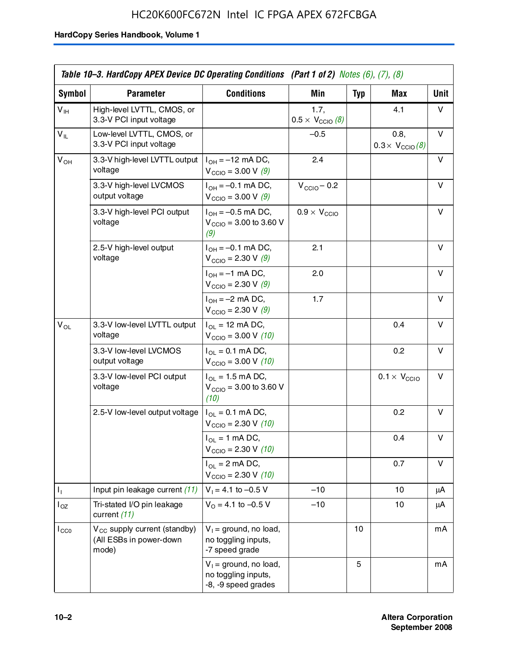### HC20K600FC672N Intel IC FPGA APEX 672FCBGA

|                 | Table 10–3. HardCopy APEX Device DC Operating Conditions (Part 1 of 2) Notes (6), (7), (8) |                                                                        |                                          |            |                                         |      |  |
|-----------------|--------------------------------------------------------------------------------------------|------------------------------------------------------------------------|------------------------------------------|------------|-----------------------------------------|------|--|
| Symbol          | <b>Parameter</b>                                                                           | <b>Conditions</b>                                                      | <b>Min</b>                               | <b>Typ</b> | Max                                     | Unit |  |
| $V_{\text{IH}}$ | High-level LVTTL, CMOS, or<br>3.3-V PCI input voltage                                      |                                                                        | 1.7.<br>$0.5 \times V_{\text{CCIO}}$ (8) |            | 4.1                                     | v    |  |
| $V_{IL}$        | Low-level LVTTL, CMOS, or<br>3.3-V PCI input voltage                                       |                                                                        | $-0.5$                                   |            | 0.8,<br>$0.3 \times V_{\text{CCIO}}(8)$ | V    |  |
| $V_{OH}$        | 3.3-V high-level LVTTL output<br>voltage                                                   | $I_{OH} = -12$ mA DC,<br>$V_{\text{CCIO}} = 3.00 V (9)$                | 2.4                                      |            |                                         | v    |  |
|                 | 3.3-V high-level LVCMOS<br>output voltage                                                  | $I_{OH} = -0.1$ mA DC,<br>$V_{\text{CCIO}} = 3.00 \text{ V} (9)$       | $V_{\text{CCIO}} - 0.2$                  |            |                                         | v    |  |
|                 | 3.3-V high-level PCI output<br>voltage                                                     | $I_{OH} = -0.5$ mA DC,<br>$V_{\text{CCIO}} = 3.00$ to 3.60 V<br>(9)    | $0.9 \times V_{\text{CCIO}}$             |            |                                         | v    |  |
|                 | 2.5-V high-level output<br>voltage                                                         | $I_{OH} = -0.1$ mA DC,<br>$V_{\text{CCIO}} = 2.30 \text{ V} (9)$       | 2.1                                      |            |                                         | v    |  |
|                 |                                                                                            | $I_{OH} = -1$ mA DC,<br>$V_{\text{CCIO}} = 2.30 \text{ V} (9)$         | 2.0                                      |            |                                         | v    |  |
|                 |                                                                                            | $I_{OH} = -2$ mA DC,<br>$V_{\text{CCIO}} = 2.30 \text{ V} (9)$         | 1.7                                      |            |                                         | v    |  |
| $V_{OL}$        | 3.3-V low-level LVTTL output<br>voltage                                                    | $I_{OL}$ = 12 mA DC,<br>$V_{\text{CCIO}} = 3.00 V (10)$                |                                          |            | 0.4                                     | v    |  |
|                 | 3.3-V low-level LVCMOS<br>output voltage                                                   | $I_{OL} = 0.1$ mA DC,<br>$V_{\text{CCIO}} = 3.00 \text{ V} (10)$       |                                          |            | 0.2                                     | v    |  |
|                 | 3.3-V low-level PCI output<br>voltage                                                      | $I_{OL}$ = 1.5 mA DC,<br>$V_{\text{CCIO}} = 3.00$ to 3.60 V<br>(10)    |                                          |            | $0.1 \times V_{\text{CCIO}}$            | v    |  |
|                 | 2.5-V low-level output voltage                                                             | $I_{OL} = 0.1$ mA DC,<br>$V_{\text{CCIO}} = 2.30 \text{ V} (10)$       |                                          |            | 0.2                                     | v    |  |
|                 |                                                                                            | $I_{OL}$ = 1 mA DC,<br>$V_{\text{CCIO}} = 2.30 V (10)$                 |                                          |            | 0.4                                     | v    |  |
|                 |                                                                                            | $I_{OL}$ = 2 mA DC,<br>$V_{\text{CCIO}} = 2.30 V (10)$                 |                                          |            | 0.7                                     | v    |  |
| Τ,              | Input pin leakage current (11)                                                             | $V_1 = 4.1$ to $-0.5$ V                                                | $-10$                                    |            | 10                                      | μA   |  |
| $I_{OZ}$        | Tri-stated I/O pin leakage<br>current (11)                                                 | $V_0$ = 4.1 to -0.5 V                                                  | $-10$                                    |            | 10                                      | μA   |  |
| $I_{CC0}$       | $V_{CC}$ supply current (standby)<br>(All ESBs in power-down<br>mode)                      | $V_1$ = ground, no load,<br>no toggling inputs,<br>-7 speed grade      |                                          | 10         |                                         | mA   |  |
|                 |                                                                                            | $V_1$ = ground, no load,<br>no toggling inputs,<br>-8, -9 speed grades |                                          | 5          |                                         | mA   |  |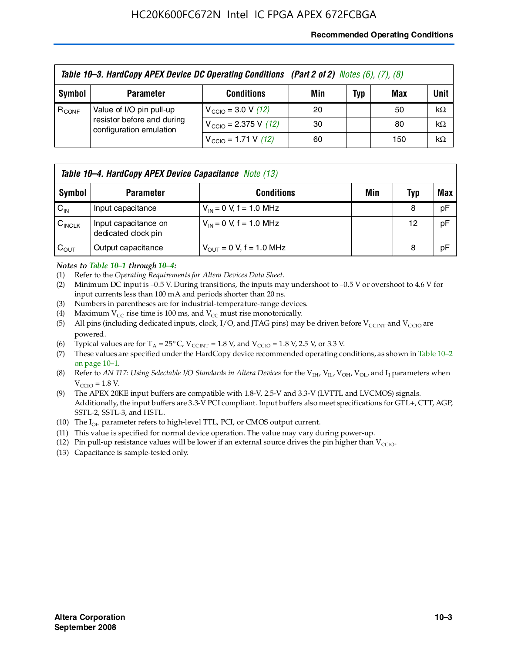### **Recommended Operating Conditions**

|            | Table 10-3. HardCopy APEX Device DC Operating Conditions (Part 2 of 2) Notes (6), (7), (8) |                                          |     |     |     |           |  |  |
|------------|--------------------------------------------------------------------------------------------|------------------------------------------|-----|-----|-----|-----------|--|--|
| Symbol     | <b>Parameter</b>                                                                           | <b>Conditions</b>                        | Min | Typ | Max | Unit      |  |  |
| $R_{CONF}$ | Value of I/O pin pull-up<br>resistor before and during<br>configuration emulation          | $V_{\text{CCIO}} = 3.0 V (12)$           | 20  |     | 50  | $k\Omega$ |  |  |
|            |                                                                                            | $V_{\text{CCIO}} = 2.375 \text{ V}$ (12) | 30  |     | 80  | $k\Omega$ |  |  |
|            |                                                                                            | $V_{\text{CCIO}} = 1.71 \text{ V}$ (12)  | 60  |     | 150 | $k\Omega$ |  |  |

|                    | <b>Table 10–4. HardCopy APEX Device Capacitance</b> Note (13) |                                     |     |     |     |  |
|--------------------|---------------------------------------------------------------|-------------------------------------|-----|-----|-----|--|
| Symbol             | <b>Parameter</b>                                              | <b>Conditions</b>                   | Min | Typ | Max |  |
| $C_{\text{IN}}$    | Input capacitance                                             | $V_{IN} = 0$ V, f = 1.0 MHz         |     | 8   | pF  |  |
| $C_{\text{INCLK}}$ | Input capacitance on<br>dedicated clock pin                   | $V_{IN} = 0$ V, f = 1.0 MHz         |     | 12  | pF  |  |
| $C_{OUT}$          | Output capacitance                                            | $V_{\text{OUT}} = 0$ V, f = 1.0 MHz |     | 8   | pF  |  |

### *Notes to Table 10–1 through 10–4:*

- (1) Refer to the *Operating Requirements for Altera Devices Data Sheet*.
- (2) Minimum DC input is –0.5 V. During transitions, the inputs may undershoot to –0.5 V or overshoot to 4.6 V for input currents less than 100 mA and periods shorter than 20 ns.
- (3) Numbers in parentheses are for industrial-temperature-range devices.
- (4) Maximum  $V_{CC}$  rise time is 100 ms, and  $V_{CC}$  must rise monotonically.
- (5) All pins (including dedicated inputs, clock, I/O, and JTAG pins) may be driven before  $V_{\text{CCINT}}$  and  $V_{\text{CCIO}}$  are powered.
- (6) Typical values are for  $T_A = 25^{\circ}$  C,  $V_{CCTNT} = 1.8$  V, and  $V_{CCTO} = 1.8$  V, 2.5 V, or 3.3 V.
- (7) These values are specified under the HardCopy device recommended operating conditions, as shown in Table 10–2 on page 10–1.
- (8) Refer to *AN 117: Using Selectable I/O Standards in Altera Devices* for the V<sub>IH</sub>, V<sub>IL</sub>, V<sub>OH</sub>, V<sub>OL</sub>, and I<sub>I</sub> parameters when  $V_{\text{CCIO}} = 1.8 \text{ V}$ .
- (9) The APEX 20KE input buffers are compatible with 1.8-V, 2.5-V and 3.3-V (LVTTL and LVCMOS) signals. Additionally, the input buffers are 3.3-V PCI compliant. Input buffers also meet specifications for GTL+, CTT, AGP, SSTL-2, SSTL-3, and HSTL.
- (10) The  $I_{OH}$  parameter refers to high-level TTL, PCI, or CMOS output current.
- (11) This value is specified for normal device operation. The value may vary during power-up.
- (12) Pin pull-up resistance values will be lower if an external source drives the pin higher than  $V_{CCIO}$ .
- (13) Capacitance is sample-tested only.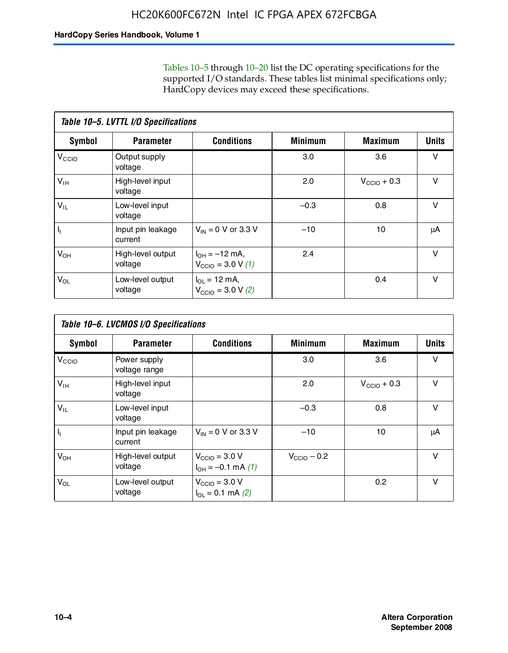Tables 10–5 through 10–20 list the DC operating specifications for the supported I/O standards. These tables list minimal specifications only; HardCopy devices may exceed these specifications.

|                           | Table 10-5. LVTTL I/O Specifications |                                                                 |                |                         |              |  |  |  |  |
|---------------------------|--------------------------------------|-----------------------------------------------------------------|----------------|-------------------------|--------------|--|--|--|--|
| Symbol                    | <b>Parameter</b>                     | <b>Conditions</b>                                               | <b>Minimum</b> | <b>Maximum</b>          | <b>Units</b> |  |  |  |  |
| $V_{\text{CCIO}}$         | Output supply<br>voltage             |                                                                 | 3.0            | 3.6                     | $\vee$       |  |  |  |  |
| $V_{\text{IH}}$           | High-level input<br>voltage          |                                                                 | 2.0            | $V_{\text{CCIO}} + 0.3$ | $\vee$       |  |  |  |  |
| $V_{IL}$                  | Low-level input<br>voltage           |                                                                 | $-0.3$         | 0.8                     | v            |  |  |  |  |
| $\mathsf{I}_{\mathsf{I}}$ | Input pin leakage<br>current         | $V_{IN} = 0$ V or 3.3 V                                         | $-10$          | 10                      | μA           |  |  |  |  |
| $V_{OH}$                  | High-level output<br>voltage         | $I_{OH} = -12$ mA,<br>$V_{\text{CCIO}} = 3.0 V(1)$              | 2.4            |                         | v            |  |  |  |  |
| $V_{OL}$                  | Low-level output<br>voltage          | $I_{\Omega I} = 12 \text{ mA}$<br>$V_{\text{CCIO}} = 3.0 V (2)$ |                | 0.4                     | $\vee$       |  |  |  |  |

|                   | Table 10-6. LVCMOS I/O Specifications |                                                           |                         |                         |              |  |  |  |  |
|-------------------|---------------------------------------|-----------------------------------------------------------|-------------------------|-------------------------|--------------|--|--|--|--|
| <b>Symbol</b>     | <b>Parameter</b>                      | <b>Conditions</b>                                         | <b>Minimum</b>          | <b>Maximum</b>          | <b>Units</b> |  |  |  |  |
| V <sub>CCIO</sub> | Power supply<br>voltage range         |                                                           | 3.0                     | 3.6                     | v            |  |  |  |  |
| $V_{\text{IH}}$   | High-level input<br>voltage           |                                                           | 2.0                     | $V_{\text{CCIO}} + 0.3$ | $\vee$       |  |  |  |  |
| $V_{IL}$          | Low-level input<br>voltage            |                                                           | $-0.3$                  | 0.8                     | $\vee$       |  |  |  |  |
| H,                | Input pin leakage<br>current          | $V_{IN} = 0$ V or 3.3 V                                   | $-10$                   | 10                      | μA           |  |  |  |  |
| $V_{OH}$          | High-level output<br>voltage          | $V_{\text{CCIO}} = 3.0 V$<br>$I_{OH} = -0.1$ mA $(1)$     | $V_{\text{CCIO}} - 0.2$ |                         | $\vee$       |  |  |  |  |
| $V_{OL}$          | Low-level output<br>voltage           | $V_{\text{CCIO}} = 3.0 V$<br>$I_{\text{OL}} = 0.1$ mA (2) |                         | 0.2                     | $\vee$       |  |  |  |  |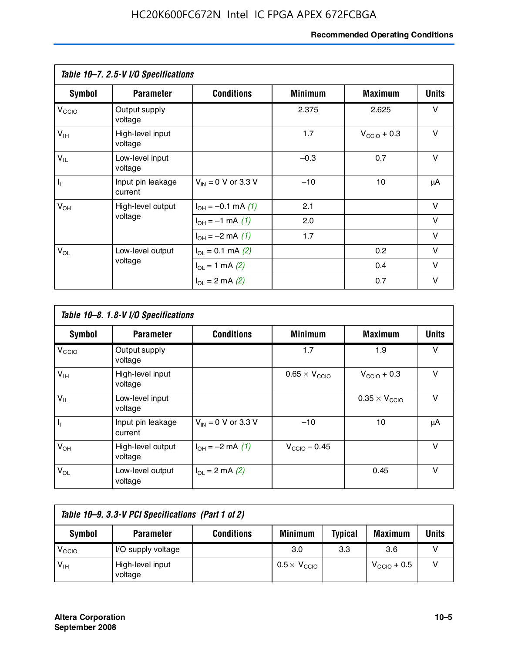### **Recommended Operating Conditions**

|                         | Table 10-7. 2.5-V I/O Specifications |                                      |                |                         |              |
|-------------------------|--------------------------------------|--------------------------------------|----------------|-------------------------|--------------|
| Symbol                  | <b>Parameter</b>                     | <b>Conditions</b>                    | <b>Minimum</b> | <b>Maximum</b>          | <b>Units</b> |
| V <sub>CCO</sub>        | Output supply<br>voltage             |                                      | 2.375          | 2.625                   | v            |
| $V_{\text{IH}}$         | High-level input<br>voltage          |                                      | 1.7            | $V_{\text{CCIO}} + 0.3$ | $\vee$       |
| $V_{IL}$                | Low-level input<br>voltage           |                                      | $-0.3$         | 0.7                     | $\vee$       |
| $\mathsf{I}_\mathsf{I}$ | Input pin leakage<br>current         | $V_{IN} = 0$ V or 3.3 V              | $-10$          | 10                      | μA           |
| $V_{OH}$                | High-level output                    | $I_{OH} = -0.1$ mA $(1)$             | 2.1            |                         | $\vee$       |
|                         | voltage                              | $I_{OH} = -1$ mA $(1)$               | 2.0            |                         | V            |
|                         |                                      | $I_{OH} = -2$ mA (1)                 | 1.7            |                         | $\vee$       |
| $V_{OL}$                | Low-level output                     | $I_{\text{OL}} = 0.1 \text{ mA}$ (2) |                | 0.2                     | v            |
|                         | voltage                              | $I_{\Omega}$ = 1 mA (2)              |                | 0.4                     | $\vee$       |
|                         |                                      | $I_{\Omega I} = 2$ mA (2)            |                | 0.7                     | v            |

|                   | Table 10-8. 1.8-V I/O Specifications |                         |                               |                               |              |  |  |  |  |
|-------------------|--------------------------------------|-------------------------|-------------------------------|-------------------------------|--------------|--|--|--|--|
| Symbol            | <b>Parameter</b>                     | <b>Conditions</b>       | <b>Minimum</b>                | <b>Maximum</b>                | <b>Units</b> |  |  |  |  |
| V <sub>CCIO</sub> | Output supply<br>voltage             |                         | 1.7                           | 1.9                           | v            |  |  |  |  |
| $V_{IH}$          | High-level input<br>voltage          |                         | $0.65 \times V_{\text{CCIO}}$ | $V_{\text{CCIO}} + 0.3$       | v            |  |  |  |  |
| $V_{IL}$          | Low-level input<br>voltage           |                         |                               | $0.35 \times V_{\text{CCIO}}$ | $\vee$       |  |  |  |  |
| $\mathbf{l}_{1}$  | Input pin leakage<br>current         | $V_{IN} = 0$ V or 3.3 V | $-10$                         | 10                            | μA           |  |  |  |  |
| $V_{OH}$          | High-level output<br>voltage         | $I_{OH} = -2$ mA (1)    | $V_{\text{CCIO}} - 0.45$      |                               | v            |  |  |  |  |
| $V_{OL}$          | Low-level output<br>voltage          | $I_{\Omega}$ = 2 mA (2) |                               | 0.45                          | $\vee$       |  |  |  |  |

| Table 10-9. 3.3-V PCI Specifications (Part 1 of 2) |                             |                   |                              |                |                         |       |  |
|----------------------------------------------------|-----------------------------|-------------------|------------------------------|----------------|-------------------------|-------|--|
| Symbol                                             | <b>Parameter</b>            | <b>Conditions</b> | <b>Minimum</b>               | <b>Typical</b> | <b>Maximum</b>          | Units |  |
| V <sub>CIO</sub>                                   | I/O supply voltage          |                   | 3.0                          | 3.3            | 3.6                     |       |  |
| $V_{\text{IH}}$                                    | High-level input<br>voltage |                   | $0.5 \times V_{\text{CCIO}}$ |                | $V_{\text{CCIO}} + 0.5$ |       |  |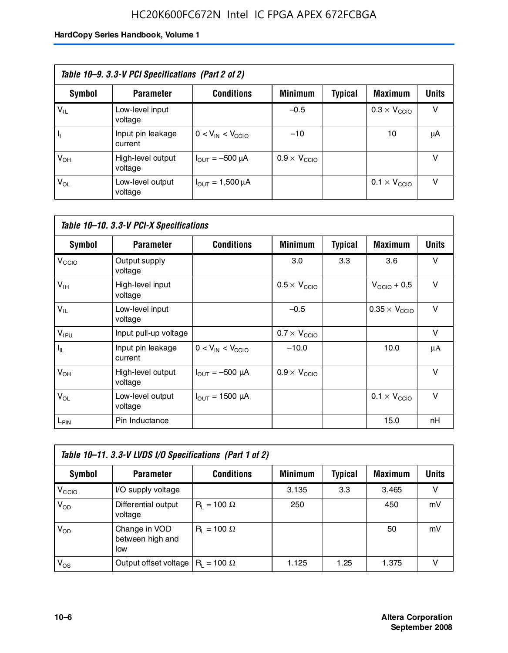### HC20K600FC672N Intel IC FPGA APEX 672FCBGA

| Table 10–9. 3.3-V PCI Specifications (Part 2 of 2) |                              |                                        |                              |         |                              |              |  |
|----------------------------------------------------|------------------------------|----------------------------------------|------------------------------|---------|------------------------------|--------------|--|
| Symbol                                             | <b>Parameter</b>             | <b>Conditions</b>                      | <b>Minimum</b>               | Typical | <b>Maximum</b>               | <b>Units</b> |  |
| $V_{IL}$                                           | Low-level input<br>voltage   |                                        | $-0.5$                       |         | $0.3 \times V_{\text{CCIO}}$ | v            |  |
|                                                    | Input pin leakage<br>current | $0 < V_{IN} < V_{CCIO}$                | $-10$                        |         | 10                           | μA           |  |
| $V_{OH}$                                           | High-level output<br>voltage | $I_{\text{OUT}} = -500 \mu A$          | $0.9 \times V_{\text{CCIO}}$ |         |                              | v            |  |
| $V_{OL}$                                           | Low-level output<br>voltage  | $I_{\text{OUT}} = 1,500 \,\mu\text{A}$ |                              |         | $0.1 \times V_{\text{CCIO}}$ | v            |  |

| Table 10-10. 3.3-V PCI-X Specifications |                              |                               |                              |                |                               |              |  |
|-----------------------------------------|------------------------------|-------------------------------|------------------------------|----------------|-------------------------------|--------------|--|
| <b>Symbol</b>                           | <b>Parameter</b>             | <b>Conditions</b>             | <b>Minimum</b>               | <b>Typical</b> | <b>Maximum</b>                | <b>Units</b> |  |
| V <sub>CCIO</sub>                       | Output supply<br>voltage     |                               | 3.0                          | 3.3            | 3.6                           | v            |  |
| V <sub>IH</sub>                         | High-level input<br>voltage  |                               | $0.5 \times V_{\text{CCIO}}$ |                | $V_{\text{CCIO}} + 0.5$       | $\vee$       |  |
| $V_{IL}$                                | Low-level input<br>voltage   |                               | $-0.5$                       |                | $0.35 \times V_{\text{CCIO}}$ | $\vee$       |  |
| $V_{IPU}$                               | Input pull-up voltage        |                               | $0.7 \times V_{\text{CCIO}}$ |                |                               | $\vee$       |  |
| $I_{\rm IL}$                            | Input pin leakage<br>current | $0 < V_{IN} < V_{CGIO}$       | $-10.0$                      |                | 10.0                          | μA           |  |
| $V_{OH}$                                | High-level output<br>voltage | $I_{\text{OUT}} = -500 \mu A$ | $0.9 \times V_{\text{CCIO}}$ |                |                               | $\vee$       |  |
| $V_{OL}$                                | Low-level output<br>voltage  | $I_{\text{OUT}} = 1500 \mu A$ |                              |                | $0.1 \times V_{\text{CCIO}}$  | $\vee$       |  |
| L <sub>PIN</sub>                        | Pin Inductance               |                               |                              |                | 15.0                          | nH           |  |

| Table 10-11. 3.3-V LVDS I/O Specifications (Part 1 of 2) |                                          |                    |                |         |                |        |  |
|----------------------------------------------------------|------------------------------------------|--------------------|----------------|---------|----------------|--------|--|
| Symbol                                                   | <b>Parameter</b>                         | <b>Conditions</b>  | <b>Minimum</b> | Typical | <b>Maximum</b> | Units  |  |
| V <sub>CIO</sub>                                         | I/O supply voltage                       |                    | 3.135          | 3.3     | 3.465          | $\vee$ |  |
| $V_{OD}$                                                 | Differential output<br>voltage           | $R_1 = 100 \Omega$ | 250            |         | 450            | mV     |  |
| $V_{OD}$                                                 | Change in VOD<br>between high and<br>low | $R_i = 100 \Omega$ |                |         | 50             | mV     |  |
| $V_{OS}$                                                 | Output offset voltage                    | $R_1 = 100 \Omega$ | 1.125          | 1.25    | 1.375          |        |  |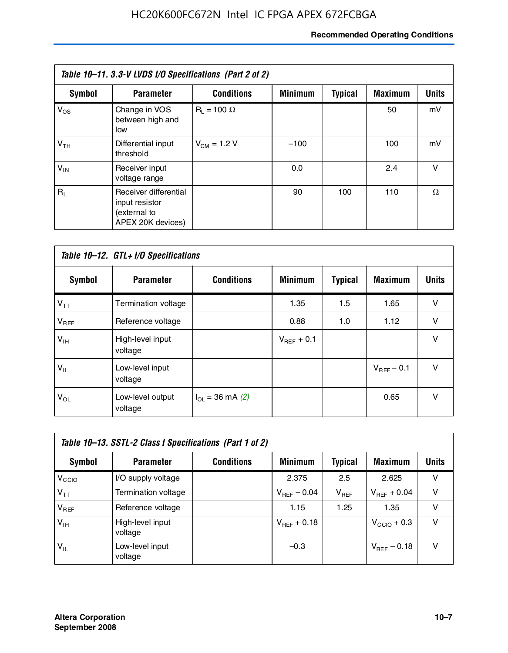### **Recommended Operating Conditions**

| Table 10–11. 3.3-V LVDS I/O Specifications (Part 2 of 2) |                                                                              |                    |                |                |                |              |  |
|----------------------------------------------------------|------------------------------------------------------------------------------|--------------------|----------------|----------------|----------------|--------------|--|
| Symbol                                                   | <b>Parameter</b>                                                             | <b>Conditions</b>  | <b>Minimum</b> | <b>Typical</b> | <b>Maximum</b> | <b>Units</b> |  |
| $V_{OS}$                                                 | Change in VOS<br>between high and<br>low                                     | $R_1 = 100 \Omega$ |                |                | 50             | mV           |  |
| V <sub>TH</sub>                                          | Differential input<br>threshold                                              | $V_{CM} = 1.2 V$   | $-100$         |                | 100            | mV           |  |
| $V_{IN}$                                                 | Receiver input<br>voltage range                                              |                    | 0.0            |                | 2.4            | v            |  |
| $R_{\perp}$                                              | Receiver differential<br>input resistor<br>(external to<br>APEX 20K devices) |                    | 90             | 100            | 110            | Ω            |  |

| Table 10-12. GTL+ I/O Specifications |                             |                          |                 |                |                 |              |  |
|--------------------------------------|-----------------------------|--------------------------|-----------------|----------------|-----------------|--------------|--|
| <b>Symbol</b>                        | <b>Parameter</b>            | <b>Conditions</b>        | <b>Minimum</b>  | <b>Typical</b> | <b>Maximum</b>  | <b>Units</b> |  |
| $V_{TT}$                             | Termination voltage         |                          | 1.35            | 1.5            | 1.65            | v            |  |
| $V_{REF}$                            | Reference voltage           |                          | 0.88            | 1.0            | 1.12            | $\vee$       |  |
| $V_{IH}$                             | High-level input<br>voltage |                          | $V_{REF}$ + 0.1 |                |                 | $\vee$       |  |
| $V_{IL}$                             | Low-level input<br>voltage  |                          |                 |                | $V_{BFF}$ – 0.1 | $\vee$       |  |
| $V_{OL}$                             | Low-level output<br>voltage | $I_{\Omega}$ = 36 mA (2) |                 |                | 0.65            | $\vee$       |  |

| Table 10–13. SSTL-2 Class I Specifications (Part 1 of 2) |                             |                   |                         |           |                         |              |  |
|----------------------------------------------------------|-----------------------------|-------------------|-------------------------|-----------|-------------------------|--------------|--|
| Symbol                                                   | <b>Parameter</b>            | <b>Conditions</b> | <b>Minimum</b>          | Typical   | <b>Maximum</b>          | <b>Units</b> |  |
| V <sub>CIO</sub>                                         | I/O supply voltage          |                   | 2.375                   | 2.5       | 2.625                   | v            |  |
| $V_{TT}$                                                 | Termination voltage         |                   | $V_{\text{REF}}$ – 0.04 | $V_{REF}$ | $V_{BFF}$ + 0.04        | v            |  |
| $V_{BEF}$                                                | Reference voltage           |                   | 1.15                    | 1.25      | 1.35                    | v            |  |
| $V_{\text{H}}$                                           | High-level input<br>voltage |                   | $V_{REF}$ + 0.18        |           | $V_{\text{CCIO}} + 0.3$ | v            |  |
| $V_{IL}$                                                 | Low-level input<br>voltage  |                   | $-0.3$                  |           | $V_{REF}$ – 0.18        | v            |  |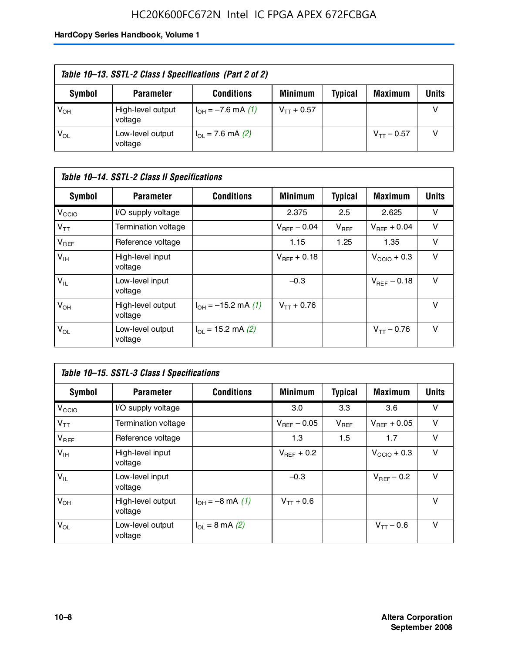### HC20K600FC672N Intel IC FPGA APEX 672FCBGA

| Table 10–13. SSTL-2 Class I Specifications (Part 2 of 2) |                              |                           |                 |                |                 |              |  |
|----------------------------------------------------------|------------------------------|---------------------------|-----------------|----------------|-----------------|--------------|--|
| Symbol                                                   | <b>Parameter</b>             | <b>Conditions</b>         | <b>Minimum</b>  | <b>Typical</b> | <b>Maximum</b>  | <b>Units</b> |  |
| V <sub>ОН</sub>                                          | High-level output<br>voltage | $I_{OH} = -7.6$ mA (1)    | $V_{TT}$ + 0.57 |                |                 |              |  |
| $\mathsf{V}_{\mathsf{OL}}$                               | Low-level output<br>voltage  | $I_{\Omega}$ = 7.6 mA (2) |                 |                | $V_{TT} - 0.57$ |              |  |

| Table 10–14. SSTL-2 Class II Specifications |                              |                            |                  |                |                  |              |
|---------------------------------------------|------------------------------|----------------------------|------------------|----------------|------------------|--------------|
| <b>Symbol</b>                               | <b>Parameter</b>             | <b>Conditions</b>          | <b>Minimum</b>   | <b>Typical</b> | <b>Maximum</b>   | <b>Units</b> |
| V <sub>CCIO</sub>                           | I/O supply voltage           |                            | 2.375            | 2.5            | 2.625            | v            |
| $V_{TT}$                                    | Termination voltage          |                            | $V_{BFF}$ – 0.04 | $V_{REF}$      | $V_{BFF}$ + 0.04 | v            |
| $V_{REF}$                                   | Reference voltage            |                            | 1.15             | 1.25           | 1.35             | v            |
| $V_{IH}$                                    | High-level input<br>voltage  |                            | $V_{BFF}$ + 0.18 |                | $V_{CCD}$ + 0.3  | v            |
| $V_{IL}$                                    | Low-level input<br>voltage   |                            | $-0.3$           |                | $V_{BFE} - 0.18$ | $\vee$       |
| $V_{OH}$                                    | High-level output<br>voltage | $I_{OH} = -15.2$ mA (1)    | $V_{TT} + 0.76$  |                |                  | v            |
| $V_{OL}$                                    | Low-level output<br>voltage  | $I_{\Omega}$ = 15.2 mA (2) |                  |                | $V_{TT} - 0.76$  | v            |

| Table 10-15. SSTL-3 Class I Specifications |                              |                                 |                  |                |                         |              |
|--------------------------------------------|------------------------------|---------------------------------|------------------|----------------|-------------------------|--------------|
| <b>Symbol</b>                              | <b>Parameter</b>             | <b>Conditions</b>               | <b>Minimum</b>   | <b>Typical</b> | <b>Maximum</b>          | <b>Units</b> |
| V <sub>CCIO</sub>                          | I/O supply voltage           |                                 | 3.0              | 3.3            | 3.6                     | v            |
| $V_{TT}$                                   | Termination voltage          |                                 | $V_{REF}$ – 0.05 | $V_{REF}$      | $V_{BFF}$ + 0.05        | v            |
| $V_{REF}$                                  | Reference voltage            |                                 | 1.3              | 1.5            | 1.7                     | v            |
| $V_{\text{IH}}$                            | High-level input<br>voltage  |                                 | $V_{BFF}$ + 0.2  |                | $V_{\text{CCIO}} + 0.3$ | v            |
| $V_{IL}$                                   | Low-level input<br>voltage   |                                 | $-0.3$           |                | $V_{\text{REF}}$ – 0.2  | v            |
| $V_{OH}$                                   | High-level output<br>voltage | $I_{OH} = -8 \text{ mA} (1)$    | $V_{TT} + 0.6$   |                |                         | v            |
| $V_{OL}$                                   | Low-level output<br>voltage  | $I_{\Omega} = 8 \text{ mA}$ (2) |                  |                | $V_{TT} - 0.6$          | v            |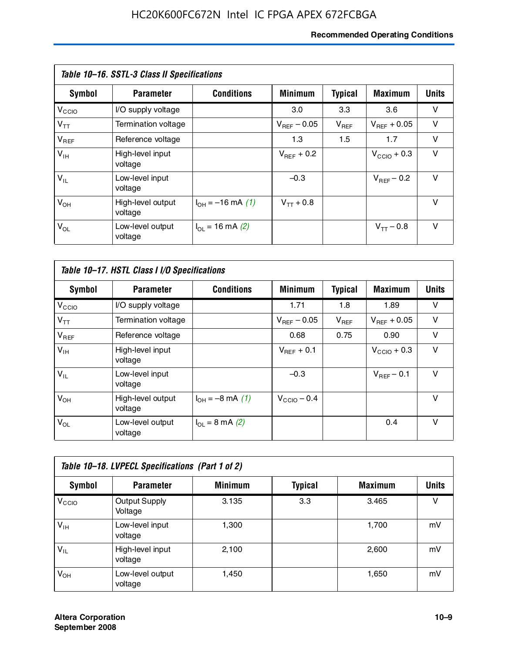### **Recommended Operating Conditions**

| Table 10–16. SSTL-3 Class II Specifications |                              |                          |                         |                |                  |              |
|---------------------------------------------|------------------------------|--------------------------|-------------------------|----------------|------------------|--------------|
| Symbol                                      | <b>Parameter</b>             | <b>Conditions</b>        | <b>Minimum</b>          | <b>Typical</b> | <b>Maximum</b>   | <b>Units</b> |
| V <sub>CCIO</sub>                           | I/O supply voltage           |                          | 3.0                     | 3.3            | 3.6              | v            |
| $V_{TT}$                                    | Termination voltage          |                          | $V_{\text{BFE}} - 0.05$ | $V_{REF}$      | $V_{BFF}$ + 0.05 | v            |
| $V_{REF}$                                   | Reference voltage            |                          | 1.3                     | 1.5            | 1.7              | v            |
| $V_{IH}$                                    | High-level input<br>voltage  |                          | $V_{BFF}$ + 0.2         |                | $V_{CCD}$ + 0.3  | v            |
| $V_{IL}$                                    | Low-level input<br>voltage   |                          | $-0.3$                  |                | $V_{BFF}$ – 0.2  | $\vee$       |
| $V_{OH}$                                    | High-level output<br>voltage | $I_{OH} = -16$ mA (1)    | $V_{TT}$ + 0.8          |                |                  | v            |
| $V_{OL}$                                    | Low-level output<br>voltage  | $I_{\Omega}$ = 16 mA (2) |                         |                | $V_{TT} - 0.8$   | v            |

| Table 10-17. HSTL Class I I/O Specifications |                              |                             |                         |                |                  |              |
|----------------------------------------------|------------------------------|-----------------------------|-------------------------|----------------|------------------|--------------|
| Symbol                                       | <b>Parameter</b>             | <b>Conditions</b>           | <b>Minimum</b>          | <b>Typical</b> | <b>Maximum</b>   | <b>Units</b> |
| $V_{\rm CCIO}$                               | I/O supply voltage           |                             | 1.71                    | 1.8            | 1.89             | v            |
| $V_{TT}$                                     | Termination voltage          |                             | $V_{\text{BFF}}$ – 0.05 | $V_{REF}$      | $V_{BFF}$ + 0.05 | v            |
| $V_{REF}$                                    | Reference voltage            |                             | 0.68                    | 0.75           | 0.90             | $\vee$       |
| $V_{\text{IH}}$                              | High-level input<br>voltage  |                             | $V_{BFF}$ + 0.1         |                | $V_{CClO}$ + 0.3 | v            |
| $V_{IL}$                                     | Low-level input<br>voltage   |                             | $-0.3$                  |                | $V_{BFF}$ – 0.1  | $\vee$       |
| $V_{OH}$                                     | High-level output<br>voltage | $I_{OH} = -8$ mA (1)        | $V_{\text{CCIO}} - 0.4$ |                |                  | $\vee$       |
| $V_{OL}$                                     | Low-level output<br>voltage  | $I_{OL} = 8 \text{ mA} (2)$ |                         |                | 0.4              | $\vee$       |

| Table 10-18. LVPECL Specifications (Part 1 of 2) |                                 |                |                |                |              |  |
|--------------------------------------------------|---------------------------------|----------------|----------------|----------------|--------------|--|
| Symbol                                           | <b>Parameter</b>                | <b>Minimum</b> | <b>Typical</b> | <b>Maximum</b> | <b>Units</b> |  |
| V <sub>CIO</sub>                                 | <b>Output Supply</b><br>Voltage | 3.135          | 3.3            | 3.465          | v            |  |
| $V_{IH}$                                         | Low-level input<br>voltage      | 1,300          |                | 1,700          | mV           |  |
| $V_{IL}$                                         | High-level input<br>voltage     | 2.100          |                | 2,600          | mV           |  |
| $V_{OH}$                                         | Low-level output<br>voltage     | 1,450          |                | 1,650          | mV           |  |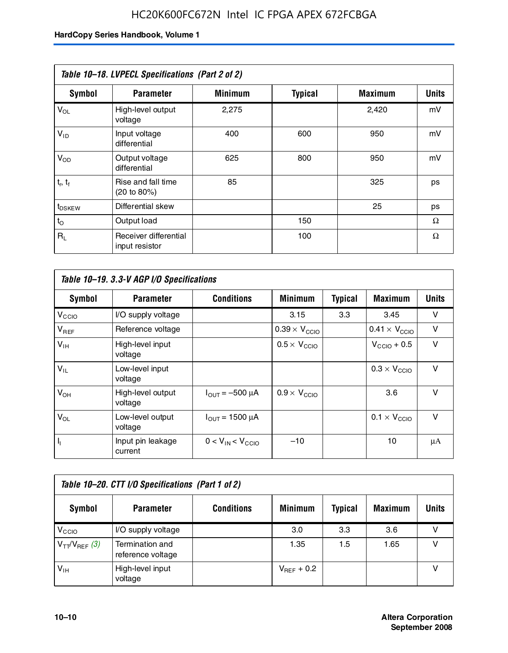| Table 10-18. LVPECL Specifications (Part 2 of 2) |                                         |                |                |                |              |  |
|--------------------------------------------------|-----------------------------------------|----------------|----------------|----------------|--------------|--|
| Symbol                                           | <b>Parameter</b>                        | <b>Minimum</b> | <b>Typical</b> | <b>Maximum</b> | <b>Units</b> |  |
| $V_{OL}$                                         | High-level output<br>voltage            | 2,275          |                | 2,420          | mV           |  |
| $V_{ID}$                                         | Input voltage<br>differential           | 400            | 600            | 950            | mV           |  |
| $V_{OD}$                                         | Output voltage<br>differential          | 625            | 800            | 950            | mV           |  |
| $t_r$ , $t_f$                                    | Rise and fall time<br>(20 to 80%)       | 85             |                | 325            | ps           |  |
| t <sub>DSKEW</sub>                               | Differential skew                       |                |                | 25             | ps           |  |
| $t_{\rm O}$                                      | Output load                             |                | 150            |                | Ω            |  |
| $R_{\rm L}$                                      | Receiver differential<br>input resistor |                | 100            |                | Ω            |  |

| Table 10-19. 3.3-V AGP I/O Specifications |                              |                               |                               |                |                               |              |
|-------------------------------------------|------------------------------|-------------------------------|-------------------------------|----------------|-------------------------------|--------------|
| Symbol                                    | <b>Parameter</b>             | <b>Conditions</b>             | <b>Minimum</b>                | <b>Typical</b> | <b>Maximum</b>                | <b>Units</b> |
| V <sub>CCIO</sub>                         | I/O supply voltage           |                               | 3.15                          | 3.3            | 3.45                          | v            |
| $V_{REF}$                                 | Reference voltage            |                               | $0.39 \times V_{\text{CCIO}}$ |                | $0.41 \times V_{\text{CCIO}}$ | v            |
| $V_{\text{IH}}$                           | High-level input<br>voltage  |                               | $0.5 \times V_{CCD}$          |                | $V_{\text{CCIO}} + 0.5$       | v            |
| $V_{IL}$                                  | Low-level input<br>voltage   |                               |                               |                | $0.3 \times V_{\text{CCIO}}$  | $\vee$       |
| $V_{OH}$                                  | High-level output<br>voltage | $I_{\text{OUT}} = -500 \mu A$ | $0.9 \times V_{\text{CCIO}}$  |                | 3.6                           | $\vee$       |
| $V_{OL}$                                  | Low-level output<br>voltage  | $I_{\text{OUT}} = 1500 \mu A$ |                               |                | $0.1 \times V_{\text{CCIO}}$  | v            |
| $I_1$                                     | Input pin leakage<br>current | $0 < V_{IN} < V_{CCIO}$       | $-10$                         |                | 10                            | μA           |

| Table 10–20. CTT I/O Specifications (Part 1 of 2) |                                      |                   |                 |                |                |       |
|---------------------------------------------------|--------------------------------------|-------------------|-----------------|----------------|----------------|-------|
| <b>Symbol</b>                                     | <b>Parameter</b>                     | <b>Conditions</b> | <b>Minimum</b>  | <b>Typical</b> | <b>Maximum</b> | Units |
| V <sub>CIO</sub>                                  | I/O supply voltage                   |                   | 3.0             | 3.3            | 3.6            |       |
| $V_{TT}/V_{REF}$ (3)                              | Termination and<br>reference voltage |                   | 1.35            | 1.5            | 1.65           |       |
| $V_{IH}$                                          | High-level input<br>voltage          |                   | $V_{BFF}$ + 0.2 |                |                |       |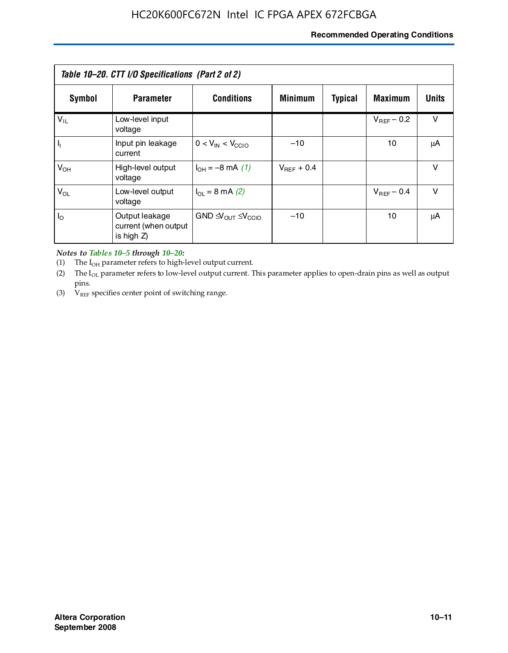### **Recommended Operating Conditions**

| Table 10–20. CTT I/O Specifications (Part 2 of 2) |                                                      |                                                         |                 |                |                 |        |  |
|---------------------------------------------------|------------------------------------------------------|---------------------------------------------------------|-----------------|----------------|-----------------|--------|--|
| Symbol                                            | <b>Parameter</b>                                     | <b>Conditions</b>                                       | <b>Minimum</b>  | <b>Typical</b> | <b>Maximum</b>  | Units  |  |
| $V_{IL}$                                          | Low-level input<br>voltage                           |                                                         |                 |                | $V_{BFF}$ – 0.2 | $\vee$ |  |
| H,                                                | Input pin leakage<br>current                         | $0 < V_{IN} < V_{CC10}$                                 | $-10$           |                | 10              | μA     |  |
| $V_{OH}$                                          | High-level output<br>voltage                         | $I_{OH} = -8 \text{ mA} (1)$                            | $V_{BFF}$ + 0.4 |                |                 | $\vee$ |  |
| $V_{OL}$                                          | Low-level output<br>voltage                          | $I_{\Omega} = 8 \text{ mA} (2)$                         |                 |                | $V_{BFF}$ – 0.4 | $\vee$ |  |
| $I_{\odot}$                                       | Output leakage<br>current (when output<br>is high Z) | GND $\triangleleft V_{\text{OUT}} \leq V_{\text{CCIO}}$ | $-10$           |                | 10              | μA     |  |

*Notes to Tables 10–5 through 10–20:*

(1) The  $I_{OH}$  parameter refers to high-level output current.

(2) The  $I_{OL}$  parameter refers to low-level output current. This parameter applies to open-drain pins as well as output pins.

(3)  $V_{REF}$  specifies center point of switching range.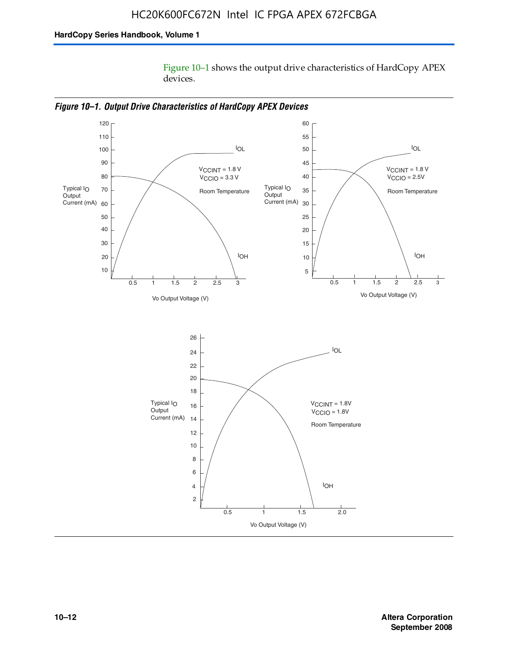Figure 10–1 shows the output drive characteristics of HardCopy APEX devices.



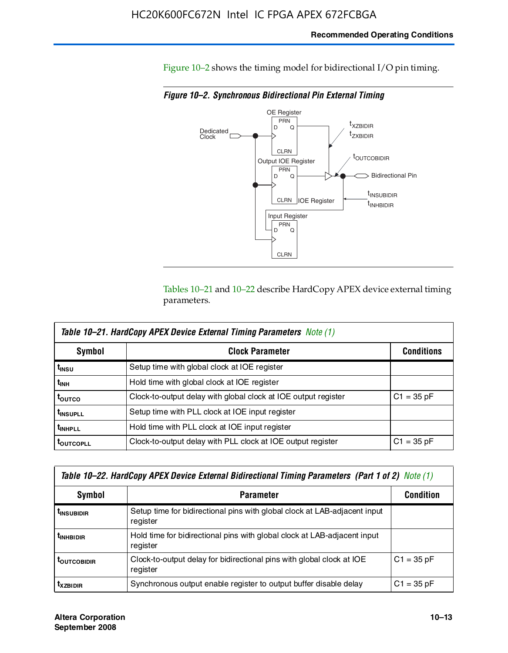Figure 10–2 shows the timing model for bidirectional I/O pin timing.

*Figure 10–2. Synchronous Bidirectional Pin External Timing*



Tables 10–21 and 10–22 describe HardCopy APEX device external timing parameters.

| <b>Table 10–21. HardCopy APEX Device External Timing Parameters Note (1)</b> |                                                                |                   |  |  |  |  |
|------------------------------------------------------------------------------|----------------------------------------------------------------|-------------------|--|--|--|--|
| Symbol                                                                       | <b>Clock Parameter</b>                                         | <b>Conditions</b> |  |  |  |  |
| t <sub>insu</sub>                                                            | Setup time with global clock at IOE register                   |                   |  |  |  |  |
| t <sub>інн</sub>                                                             | Hold time with global clock at IOE register                    |                   |  |  |  |  |
| t <sub>outco</sub>                                                           | Clock-to-output delay with global clock at IOE output register | $C1 = 35 pF$      |  |  |  |  |
| <b>t</b> INSUPLL                                                             | Setup time with PLL clock at IOE input register                |                   |  |  |  |  |
| <b>t</b> INHPLL                                                              | Hold time with PLL clock at IOE input register                 |                   |  |  |  |  |
| <b>TOUTCOPLL</b>                                                             | Clock-to-output delay with PLL clock at IOE output register    | $C1 = 35 pF$      |  |  |  |  |

| Table 10–22. HardCopy APEX Device External Bidirectional Timing Parameters (Part 1 of 2) Note (1) |                                                                                       |              |  |  |  |  |
|---------------------------------------------------------------------------------------------------|---------------------------------------------------------------------------------------|--------------|--|--|--|--|
| Symbol                                                                                            | <b>Condition</b>                                                                      |              |  |  |  |  |
| <b><i>L</i>INSUBIDIR</b>                                                                          | Setup time for bidirectional pins with global clock at LAB-adjacent input<br>register |              |  |  |  |  |
| <b><i>L</i>INHBIDIR</b>                                                                           | Hold time for bidirectional pins with global clock at LAB-adjacent input<br>register  |              |  |  |  |  |
| <b>LOUTCOBIDIR</b>                                                                                | Clock-to-output delay for bidirectional pins with global clock at IOE<br>register     | $C1 = 35 pF$ |  |  |  |  |
| <b>T</b> x <sub>7BIDIR</sub>                                                                      | Synchronous output enable register to output buffer disable delay                     | $C1 = 35 pF$ |  |  |  |  |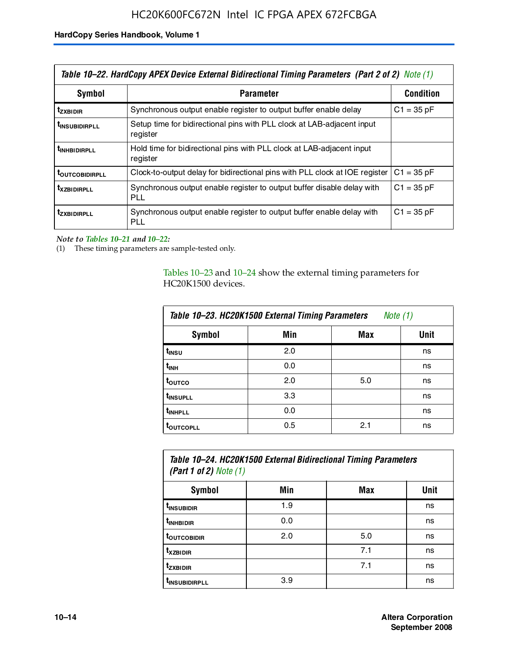| Table 10–22. HardCopy APEX Device External Bidirectional Timing Parameters (Part 2 of 2) Note (1) |                                                                                      |                  |  |  |  |
|---------------------------------------------------------------------------------------------------|--------------------------------------------------------------------------------------|------------------|--|--|--|
| Symbol                                                                                            | <b>Parameter</b>                                                                     | <b>Condition</b> |  |  |  |
| t <sub>zxbidir</sub>                                                                              | Synchronous output enable register to output buffer enable delay                     | $C1 = 35 pF$     |  |  |  |
| <b>t</b> insubidirpll                                                                             | Setup time for bidirectional pins with PLL clock at LAB-adjacent input<br>register   |                  |  |  |  |
| t <sub>inhBidirpll</sub>                                                                          | Hold time for bidirectional pins with PLL clock at LAB-adjacent input<br>register    |                  |  |  |  |
| <b><i>LOUTCOBIDIRPLL</i></b>                                                                      | Clock-to-output delay for bidirectional pins with PLL clock at IOE register          | $C1 = 35 pF$     |  |  |  |
| <b>TXZBIDIRPLL</b>                                                                                | Synchronous output enable register to output buffer disable delay with<br><b>PLL</b> | $C1 = 35 pF$     |  |  |  |
| <i>t</i> zxbidirpll                                                                               | Synchronous output enable register to output buffer enable delay with<br>PLL         | $C1 = 35 pF$     |  |  |  |

*Note to Tables 10–21 and 10–22:*

(1) These timing parameters are sample-tested only.

Tables 10–23 and 10–24 show the external timing parameters for HC20K1500 devices.

| Table 10-23. HC20K1500 External Timing Parameters<br>Note (1) |     |     |      |  |
|---------------------------------------------------------------|-----|-----|------|--|
| <b>Symbol</b>                                                 | Min | Max | Unit |  |
| t <sub>INSU</sub>                                             | 2.0 |     | ns   |  |
| $t_{\sf INH}$                                                 | 0.0 |     | ns   |  |
| t <sub>outco</sub>                                            | 2.0 | 5.0 | ns   |  |
| t <sub>INSUPLL</sub>                                          | 3.3 |     | ns   |  |
| t <sub>INHPLL</sub>                                           | 0.0 |     | ns   |  |
| <b>toutcopll</b>                                              | 0.5 | 2.1 | ns   |  |

| Table 10-24. HC20K1500 External Bidirectional Timing Parameters<br>(Part 1 of 2) Note $(1)$ |     |     |      |
|---------------------------------------------------------------------------------------------|-----|-----|------|
| Symbol                                                                                      | Min | Max | Unit |
| t <sub>insubidir</sub>                                                                      | 1.9 |     | ns   |
| t <sub>in HBIDIR</sub>                                                                      | 0.0 |     | ns   |
| <b>TOUTCOBIDIR</b>                                                                          | 2.0 | 5.0 | ns   |

**tXZBIDIR** 7.1 ns **t<sub>zxbidir</sub>** https://www.flood.com/distance/community/community/community/community/community/community/community/ t<sub>INSUBIDIRPLL</sub> 3.9 and 3.9 ns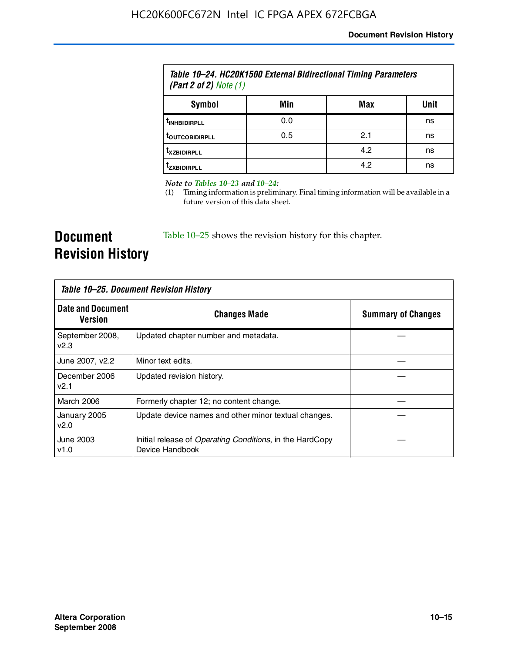| Table 10–24. HC20K1500 External Bidirectional Timing Parameters<br>(Part 2 of 2) Note $(1)$ |     |     |      |
|---------------------------------------------------------------------------------------------|-----|-----|------|
| Symbol                                                                                      | Min | Max | Unit |
| <b><i>L<sub>INHBIDIRPLL</sub></i></b>                                                       | 0.0 |     | ns   |
| <b><i>LOUTCOBIDIRPLL</i></b>                                                                | 0.5 | 2.1 | ns   |
| <b>TXZBIDIRPLL</b>                                                                          |     | 4.2 | ns   |
| <sup>T</sup> ZXBIDIRPLL                                                                     |     | 4.2 | ns   |

*Note to Tables 10–23 and 10–24:*

(1) Timing information is preliminary. Final timing information will be available in a future version of this data sheet.

**Document Revision History**

Table 10–25 shows the revision history for this chapter.

| Table 10–25. Document Revision History     |                                                                                     |                           |
|--------------------------------------------|-------------------------------------------------------------------------------------|---------------------------|
| <b>Date and Document</b><br><b>Version</b> | <b>Changes Made</b>                                                                 | <b>Summary of Changes</b> |
| September 2008,<br>v2.3                    | Updated chapter number and metadata.                                                |                           |
| June 2007, v2.2                            | Minor text edits.                                                                   |                           |
| December 2006<br>v2.1                      | Updated revision history.                                                           |                           |
| March 2006                                 | Formerly chapter 12; no content change.                                             |                           |
| January 2005<br>v2.0                       | Update device names and other minor textual changes.                                |                           |
| June 2003<br>v1.0                          | Initial release of <i>Operating Conditions</i> , in the HardCopy<br>Device Handbook |                           |